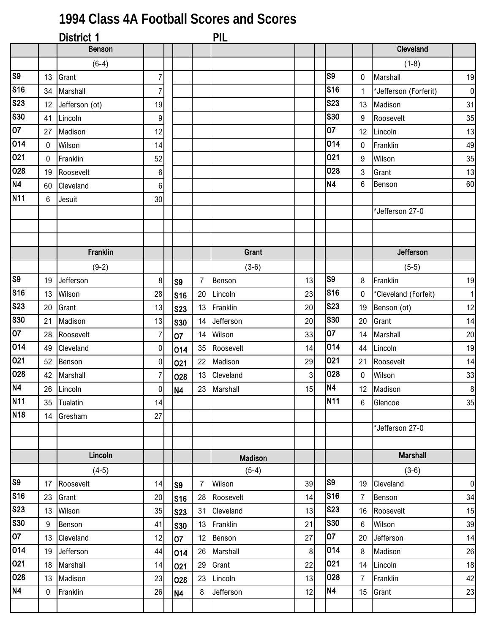## **1994 Class 4A Football Scores and Scores**

|                        |             | District 1      |                  |                |                | PIL            |              |                |                |                       |              |
|------------------------|-------------|-----------------|------------------|----------------|----------------|----------------|--------------|----------------|----------------|-----------------------|--------------|
|                        |             | <b>Benson</b>   |                  |                |                |                |              |                |                | Cleveland             |              |
|                        |             | $(6-4)$         |                  |                |                |                |              |                |                | $(1-8)$               |              |
| $\overline{\text{S}}$  | 13          | Grant           | $\overline{7}$   |                |                |                |              | S9             | 0              | Marshall              | 19           |
| <b>S16</b>             | 34          | Marshall        | $\overline{7}$   |                |                |                |              | <b>S16</b>     | 1              | *Jefferson (Forferit) | $\pmb{0}$    |
| <b>S23</b>             | 12          | Jefferson (ot)  | 19               |                |                |                |              | <b>S23</b>     | 13             | Madison               | 31           |
| <b>S30</b>             | 41          | Lincoln         | $\boldsymbol{9}$ |                |                |                |              | <b>S30</b>     | 9              | Roosevelt             | 35           |
| $\overline{07}$        | 27          | Madison         | 12               |                |                |                |              | 07             | 12             | Lincoln               | 13           |
| 014                    | $\mathbf 0$ | Wilson          | 14               |                |                |                |              | 014            | 0              | Franklin              | 49           |
| 021                    | $\mathbf 0$ | Franklin        | 52               |                |                |                |              | 021            | 9              | Wilson                | 35           |
| 028                    | 19          | Roosevelt       | $\boldsymbol{6}$ |                |                |                |              | 028            | 3              | Grant                 | 13           |
| <b>N4</b>              | 60          | Cleveland       | 6                |                |                |                |              | <b>N4</b>      | 6              | Benson                | 60           |
| N <sub>11</sub>        | 6           | Jesuit          | 30 <sup>1</sup>  |                |                |                |              |                |                |                       |              |
|                        |             |                 |                  |                |                |                |              |                |                | *Jefferson 27-0       |              |
|                        |             |                 |                  |                |                |                |              |                |                |                       |              |
|                        |             |                 |                  |                |                |                |              |                |                |                       |              |
|                        |             | <b>Franklin</b> |                  |                |                | Grant          |              |                |                | Jefferson             |              |
|                        |             | $(9-2)$         |                  |                |                | $(3-6)$        |              |                |                | $(5-5)$               |              |
| $\overline{\text{S9}}$ | 19          | Jefferson       | 8                | S <sub>9</sub> | $\overline{7}$ | Benson         | 13           | S <sub>9</sub> | 8              | Franklin              | 19           |
| <b>S16</b>             | 13          | Wilson          | 28               | <b>S16</b>     | 20             | Lincoln        | 23           | <b>S16</b>     | 0              | *Cleveland (Forfeit)  | $\mathbf{1}$ |
| <b>S23</b>             | 20          | Grant           | 13               | <b>S23</b>     | 13             | Franklin       | 20           | <b>S23</b>     | 19             | Benson (ot)           | 12           |
| <b>S30</b>             | 21          | Madison         | 13               | <b>S30</b>     | 14             | Jefferson      | 20           | <b>S30</b>     | 20             | Grant                 | 14           |
| 07                     | 28          | Roosevelt       | $\overline{7}$   | 07             | 14             | Wilson         | 33           | 07             | 14             | Marshall              | 20           |
| 014                    | 49          | Cleveland       | $\overline{0}$   | 014            | 35             | Roosevelt      | 14           | 014            | 44             | Lincoln               | 19           |
| 021                    | 52          | Benson          | $\overline{0}$   | 021            | 22             | Madison        | 29           | 021            | 21             | Roosevelt             | 14           |
| 028                    | 42          | Marshall        | $\overline{7}$   | 028            | 13             | Cleveland      | 3            | 028            | 0              | Wilson                | 33           |
| N4                     |             | 26 Lincoln      | $\overline{0}$   | <b>N4</b>      |                | 23 Marshall    | 15           | N4             |                | 12 Madison            | $\,8\,$      |
| <b>N11</b>             | 35          | Tualatin        | 14               |                |                |                |              | <b>N11</b>     | 6              | Glencoe               | 35           |
| N <sub>18</sub>        | 14          | Gresham         | 27               |                |                |                |              |                |                |                       |              |
|                        |             |                 |                  |                |                |                |              |                |                | *Jefferson 27-0       |              |
|                        |             |                 |                  |                |                |                |              |                |                |                       |              |
|                        |             | Lincoln         |                  |                |                | <b>Madison</b> |              |                |                | <b>Marshall</b>       |              |
|                        |             | $(4-5)$         |                  |                |                | $(5-4)$        |              |                |                | $(3-6)$               |              |
| S9                     | 17          | Roosevelt       | 14               | S <sub>9</sub> | $\overline{7}$ | Wilson         | 39           | S <sub>9</sub> | 19             | Cleveland             | $\pmb{0}$    |
| S16                    | 23          | Grant           | 20               | <b>S16</b>     | 28             | Roosevelt      | 14           | <b>S16</b>     | $\overline{7}$ | Benson                | 34           |
| <b>S23</b>             | 13          | Wilson          | 35               | <b>S23</b>     | 31             | Cleveland      | 13           | <b>S23</b>     | 16             | Roosevelt             | 15           |
| <b>S30</b>             | 9           | Benson          | 41               | <b>S30</b>     | 13             | Franklin       | 21           | <b>S30</b>     | $6\phantom{1}$ | Wilson                | 39           |
| 07                     | 13          | Cleveland       | 12               | 07             | 12             | Benson         | 27           | 07             | 20             | Jefferson             | 14           |
| 014                    | 19          | Jefferson       | 44               | 014            | 26             | Marshall       | $\mathbf{8}$ | 014            | 8              | Madison               | 26           |
| 021                    | 18          | Marshall        | 14               | 021            | 29             | Grant          | 22           | 021            | 14             | Lincoln               | 18           |
| 028                    | 13          | Madison         | 23               | 028            | 23             | Lincoln        | 13           | 028            | $\overline{7}$ | Franklin              | 42           |
| <b>N4</b>              | 0           | Franklin        | 26               | N4             | 8              | Jefferson      | 12           | <b>N4</b>      | 15             | Grant                 | 23           |
|                        |             |                 |                  |                |                |                |              |                |                |                       |              |
|                        |             |                 |                  |                |                |                |              |                |                |                       |              |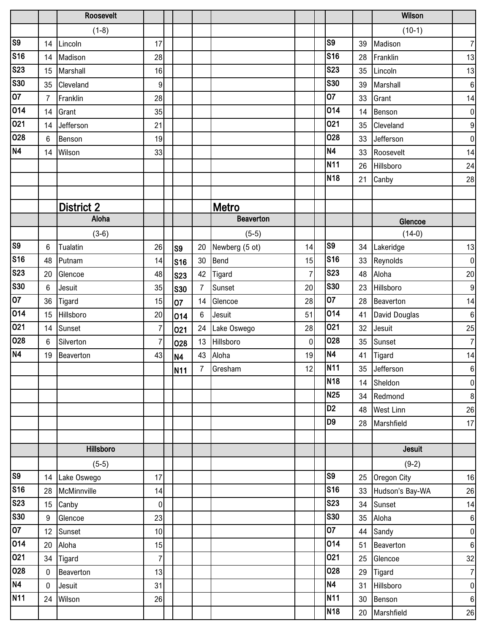|                        |                | Roosevelt         |                |                |                |                  |                |                 |    | Wilson           |                  |
|------------------------|----------------|-------------------|----------------|----------------|----------------|------------------|----------------|-----------------|----|------------------|------------------|
|                        |                | $(1-8)$           |                |                |                |                  |                |                 |    | $(10-1)$         |                  |
| $\overline{\text{S9}}$ | 14             | Lincoln           | 17             |                |                |                  |                | S <sub>9</sub>  | 39 | Madison          | $\boldsymbol{7}$ |
| <b>S16</b>             | 14             | Madison           | 28             |                |                |                  |                | <b>S16</b>      | 28 | Franklin         | 13               |
| <b>S23</b>             | 15             | Marshall          | 16             |                |                |                  |                | <b>S23</b>      | 35 | Lincoln          | 13               |
| <b>S30</b>             | 35             | Cleveland         | 9              |                |                |                  |                | <b>S30</b>      | 39 | Marshall         | $\boldsymbol{6}$ |
| $\overline{07}$        | $\overline{7}$ | Franklin          | 28             |                |                |                  |                | 07              | 33 | Grant            | 14               |
| 014                    | 14             | Grant             | 35             |                |                |                  |                | 014             | 14 | Benson           | $\boldsymbol{0}$ |
| 021                    | 14             | Jefferson         | 21             |                |                |                  |                | 021             | 35 | Cleveland        | $\boldsymbol{9}$ |
| 028                    | 6              | Benson            | 19             |                |                |                  |                | 028             | 33 | Jefferson        | $\pmb{0}$        |
| <b>N4</b>              | 14             | Wilson            | 33             |                |                |                  |                | N4              | 33 | Roosevelt        | 14               |
|                        |                |                   |                |                |                |                  |                | <b>N11</b>      | 26 | Hillsboro        | 24               |
|                        |                |                   |                |                |                |                  |                | <b>N18</b>      | 21 | Canby            | 28               |
|                        |                |                   |                |                |                |                  |                |                 |    |                  |                  |
|                        |                | <b>District 2</b> |                |                |                | Metro            |                |                 |    |                  |                  |
|                        |                | Aloha             |                |                |                | <b>Beaverton</b> |                |                 |    | Glencoe          |                  |
|                        |                | $(3-6)$           |                |                |                | $(5-5)$          |                |                 |    | $(14-0)$         |                  |
| S <sub>9</sub>         | 6              | Tualatin          | 26             | S <sub>9</sub> | 20             | Newberg (5 ot)   | 14             | S <sub>9</sub>  | 34 | Lakeridge        | 13               |
| S16                    | 48             | Putnam            | 14             | <b>S16</b>     | 30             | Bend             | 15             | <b>S16</b>      | 33 | Reynolds         | $\pmb{0}$        |
| <b>S23</b>             | 20             | Glencoe           | 48             | <b>S23</b>     | 42             | Tigard           | $\overline{7}$ | <b>S23</b>      | 48 | Aloha            | $20\,$           |
| <b>S30</b>             | 6              | Jesuit            | 35             | <b>S30</b>     | $\overline{7}$ | Sunset           | 20             | <b>S30</b>      | 23 | Hillsboro        | $\boldsymbol{9}$ |
| $\overline{07}$        | 36             | Tigard            | 15             | 07             | 14             | Glencoe          | 28             | $\overline{07}$ | 28 | Beaverton        | 14               |
| 014                    | 15             | Hillsboro         | 20             | 014            | $6\phantom{1}$ | Jesuit           | 51             | 014             | 41 | David Douglas    | $\boldsymbol{6}$ |
| 021                    | 14             | Sunset            | $\overline{7}$ | 021            | 24             | Lake Oswego      | 28             | 021             | 32 | Jesuit           | 25               |
| 028                    | 6              | Silverton         | $\overline{7}$ | 028            | 13             | Hillsboro        | $\overline{0}$ | 028             | 35 | Sunset           | $\overline{7}$   |
| N <sub>4</sub>         | 19             | Beaverton         | 43             | N <sub>4</sub> | 43             | Aloha            | 19             | <b>N4</b>       | 41 | Tigard           | 14               |
|                        |                |                   |                | <b>N11</b>     |                | 7 Gresham        | 12             | N <sub>11</sub> |    | 35 Jefferson     | $\,6\,$          |
|                        |                |                   |                |                |                |                  |                | <b>N18</b>      |    | 14 Sheldon       | $\pmb{0}$        |
|                        |                |                   |                |                |                |                  |                | N <sub>25</sub> |    | 34 Redmond       | $\bf 8$          |
|                        |                |                   |                |                |                |                  |                | D <sub>2</sub>  | 48 | <b>West Linn</b> | 26               |
|                        |                |                   |                |                |                |                  |                | D9              | 28 | Marshfield       | 17               |
|                        |                |                   |                |                |                |                  |                |                 |    |                  |                  |
|                        |                | <b>Hillsboro</b>  |                |                |                |                  |                |                 |    | <b>Jesuit</b>    |                  |
|                        |                | $(5-5)$           |                |                |                |                  |                |                 |    | $(9-2)$          |                  |
| S <sub>9</sub>         |                | 14 Lake Oswego    | 17             |                |                |                  |                | S <sub>9</sub>  | 25 | Oregon City      | 16               |
| S <sub>16</sub>        |                | 28 McMinnville    | 14             |                |                |                  |                | <b>S16</b>      | 33 | Hudson's Bay-WA  | 26               |
| <b>S23</b>             |                | 15 Canby          | $\overline{0}$ |                |                |                  |                | <b>S23</b>      | 34 | Sunset           | 14               |
| <b>S30</b>             | 9              | Glencoe           | 23             |                |                |                  |                | <b>S30</b>      | 35 | Aloha            | $\,6\,$          |
| $\overline{07}$        |                | 12 Sunset         | 10             |                |                |                  |                | 07              |    | 44 Sandy         | $\pmb{0}$        |
| 014                    | 20             | Aloha             | 15             |                |                |                  |                | 014             | 51 | Beaverton        | $\,6\,$          |
| 021                    |                | 34 Tigard         | $\overline{7}$ |                |                |                  |                | 021             | 25 | Glencoe          | 32               |
| 028                    | $\mathbf 0$    | Beaverton         | 13             |                |                |                  |                | 028             | 29 | <b>Tigard</b>    | $\boldsymbol{7}$ |
| N4                     | $\mathbf 0$    | Jesuit            | 31             |                |                |                  |                | N4              | 31 | Hillsboro        | $\pmb{0}$        |
| <b>N11</b>             |                | 24 Wilson         | 26             |                |                |                  |                | <b>N11</b>      | 30 | Benson           | $\boldsymbol{6}$ |
|                        |                |                   |                |                |                |                  |                | <b>N18</b>      | 20 | Marshfield       | $26\,$           |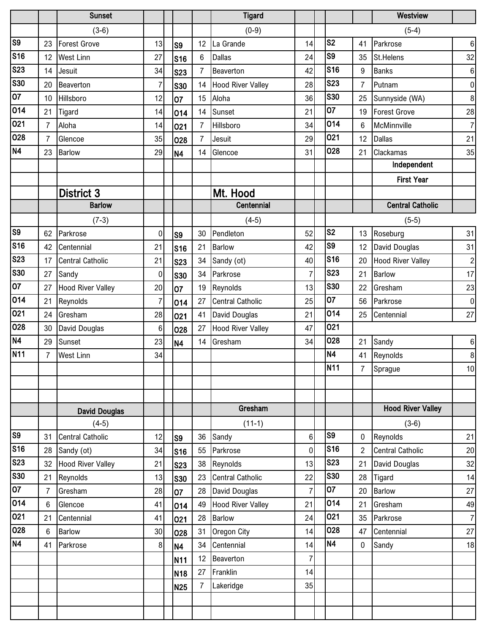|                        |                | <b>Sunset</b>            |                |                |                | <b>Tigard</b>            |                 |                        |                  | Westview                 |                |
|------------------------|----------------|--------------------------|----------------|----------------|----------------|--------------------------|-----------------|------------------------|------------------|--------------------------|----------------|
|                        |                | $(3-6)$                  |                |                |                | $(0-9)$                  |                 |                        |                  | $(5-4)$                  |                |
| S <sub>9</sub>         | 23             | <b>Forest Grove</b>      | 13             | S <sub>9</sub> | 12             | La Grande                | 14              | S <sub>2</sub>         | 41               | Parkrose                 | $\,6\,$        |
| <b>S16</b>             | 12             | <b>West Linn</b>         | 27             | <b>S16</b>     | $6\phantom{1}$ | <b>Dallas</b>            | 24              | S <sub>9</sub>         | 35               | St.Helens                | 32             |
| <b>S23</b>             | 14             | Jesuit                   | 34             | <b>S23</b>     | $\overline{7}$ | Beaverton                | 42              | <b>S16</b>             | 9                | <b>Banks</b>             | $\,6\,$        |
| <b>S30</b>             | 20             | Beaverton                | $\overline{7}$ | <b>S30</b>     | 14             | <b>Hood River Valley</b> | 28              | <b>S23</b>             | $\overline{7}$   | Putnam                   | $\pmb{0}$      |
| $\overline{07}$        | 10             | Hillsboro                | 12             | 07             | 15             | Aloha                    | 36              | <b>S30</b>             | 25               | Sunnyside (WA)           | $\,8\,$        |
| 014                    | 21             | Tigard                   | 14             | 014            | 14             | Sunset                   | 21              | 07                     | 19               | <b>Forest Grove</b>      | 28             |
| 021                    | $\overline{7}$ | Aloha                    | 14             | 021            | $\overline{7}$ | Hillsboro                | 34              | 014                    | 6                | McMinnville              | $\overline{7}$ |
| 028                    | $\overline{7}$ | Glencoe                  | 35             | 028            | $\overline{7}$ | Jesuit                   | 29              | 021                    | 12               | <b>Dallas</b>            | 21             |
| N <sub>4</sub>         | 23             | <b>Barlow</b>            | 29             | <b>N4</b>      | 14             | Glencoe                  | 31              | 028                    | 21               | Clackamas                | 35             |
|                        |                |                          |                |                |                |                          |                 |                        |                  | Independent              |                |
|                        |                |                          |                |                |                |                          |                 |                        |                  | <b>First Year</b>        |                |
|                        |                | <b>District 3</b>        |                |                |                | Mt. Hood                 |                 |                        |                  |                          |                |
|                        |                | <b>Barlow</b>            |                |                |                | Centennial               |                 |                        |                  | <b>Central Catholic</b>  |                |
|                        |                | $(7-3)$                  |                |                |                | $(4-5)$                  |                 |                        |                  | $(5-5)$                  |                |
| S <sub>9</sub>         | 62             | Parkrose                 | $\overline{0}$ | S <sub>9</sub> | 30             | Pendleton                | 52              | S <sub>2</sub>         | 13               | Roseburg                 | 31             |
| S <sub>16</sub>        | 42             | Centennial               | 21             | <b>S16</b>     | 21             | <b>Barlow</b>            | 42              | $\overline{\text{S9}}$ | 12               | David Douglas            | 31             |
| <b>S23</b>             | 17             | <b>Central Catholic</b>  | 21             | <b>S23</b>     | 34             | Sandy (ot)               | 40              | <b>S16</b>             | 20               | <b>Hood River Valley</b> | $\overline{c}$ |
| <b>S30</b>             | 27             | Sandy                    | $\overline{0}$ | <b>S30</b>     | 34             | Parkrose                 | $\overline{7}$  | <b>S23</b>             | 21               | Barlow                   | 17             |
| $\overline{07}$        | 27             | <b>Hood River Valley</b> | 20             | 07             | 19             | Reynolds                 | 13              | <b>S30</b>             | 22               | Gresham                  | 23             |
| 014                    | 21             | Reynolds                 | $\overline{7}$ | 014            | 27             | <b>Central Catholic</b>  | 25              | 07                     | 56               | Parkrose                 | $\pmb{0}$      |
| 021                    | 24             | Gresham                  | 28             | 021            | 41             | David Douglas            | 21              | 014                    | 25               | Centennial               | 27             |
| 028                    | 30             | David Douglas            | 6 <sup>1</sup> | 028            | 27             | <b>Hood River Valley</b> | 47              | 021                    |                  |                          |                |
| N <sub>4</sub>         | 29             | Sunset                   | 23             | <b>N4</b>      | 14             | Gresham                  | 34              | 028                    | 21               | Sandy                    | $\,6\,$        |
| N <sub>11</sub>        | $\overline{7}$ | <b>West Linn</b>         | 34             |                |                |                          |                 | <b>N4</b>              | 41               | Reynolds                 | $\bf 8$        |
|                        |                |                          |                |                |                |                          |                 | N <sub>11</sub>        | $\overline{7}$   | Sprague                  | 10             |
|                        |                |                          |                |                |                |                          |                 |                        |                  |                          |                |
|                        |                |                          |                |                |                |                          |                 |                        |                  |                          |                |
|                        |                | <b>David Douglas</b>     |                |                |                | Gresham                  |                 |                        |                  | <b>Hood River Valley</b> |                |
|                        |                | $(4-5)$                  |                |                |                | $(11-1)$                 |                 |                        |                  | $(3-6)$                  |                |
| $\overline{\text{S9}}$ | 31             | <b>Central Catholic</b>  | 12             | S <sub>9</sub> | 36             | Sandy                    | $6\phantom{.}6$ | S <sub>9</sub>         | $\mathbf 0$      | Reynolds                 | 21             |
| <b>S16</b>             | 28             | Sandy (ot)               | 34             | <b>S16</b>     | 55             | Parkrose                 | $\mathbf 0$     | <b>S16</b>             | $\overline{2}$   | <b>Central Catholic</b>  | 20             |
| <b>S23</b>             | 32             | <b>Hood River Valley</b> | 21             | <b>S23</b>     | 38             | Reynolds                 | 13              | <b>S23</b>             | 21               | David Douglas            | 32             |
| S30                    | 21             | Reynolds                 | 13             | <b>S30</b>     | 23             | <b>Central Catholic</b>  | 22              | <b>S30</b>             | 28               | Tigard                   | 14             |
| 07                     | $\overline{7}$ | Gresham                  | 28             | 07             | 28             | David Douglas            | $\overline{7}$  | 07                     | 20               | <b>Barlow</b>            | 27             |
| 014                    | 6              | Glencoe                  | 41             | 014            | 49             | <b>Hood River Valley</b> | 21              | 014                    | 21               | Gresham                  | 49             |
| 021                    | 21             | Centennial               | 41             | 021            | 28             | Barlow                   | 24              | 021                    | 35               | Parkrose                 | $\overline{7}$ |
| 028                    | 6              | <b>Barlow</b>            | 30             | 028            | 31             | Oregon City              | 14              | 028                    | 47               | Centennial               | 27             |
| N4                     | 41             | Parkrose                 | 8 <sup>1</sup> | N <sub>4</sub> | 34             | Centennial               | 14              | <b>N4</b>              | $\boldsymbol{0}$ | Sandy                    | 18             |
|                        |                |                          |                | <b>N11</b>     | 12             | Beaverton                | $\overline{7}$  |                        |                  |                          |                |
|                        |                |                          |                | <b>N18</b>     | 27             | Franklin                 | 14              |                        |                  |                          |                |
|                        |                |                          |                | <b>N25</b>     | 7              | Lakeridge                | 35              |                        |                  |                          |                |
|                        |                |                          |                |                |                |                          |                 |                        |                  |                          |                |
|                        |                |                          |                |                |                |                          |                 |                        |                  |                          |                |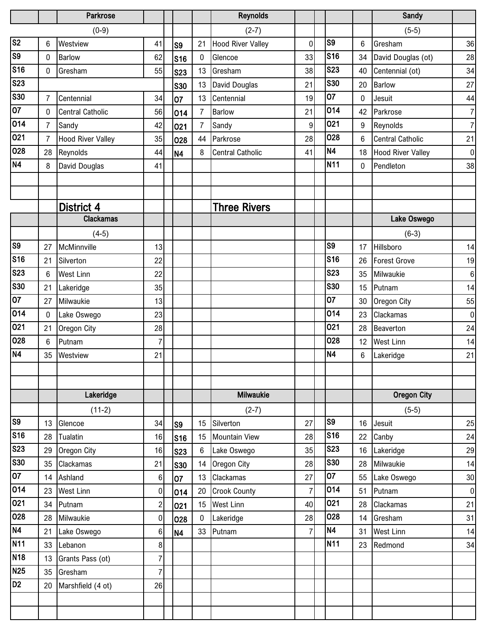|                         |                | Parkrose                    |                    |                |                | <b>Reynolds</b>          |                      |                |                 | Sandy                    |                  |
|-------------------------|----------------|-----------------------------|--------------------|----------------|----------------|--------------------------|----------------------|----------------|-----------------|--------------------------|------------------|
|                         |                | $(0-9)$                     |                    |                |                | $(2-7)$                  |                      |                |                 | $(5-5)$                  |                  |
| $\overline{\text{S2}}$  | 6              | Westview                    | 41                 | S <sub>9</sub> | 21             | <b>Hood River Valley</b> | $\mathbf 0$          | S <sub>9</sub> | 6               | Gresham                  | 36               |
| $\overline{\text{S9}}$  | 0              | Barlow                      | 62                 | <b>S16</b>     | 0              | Glencoe                  | 33                   | <b>S16</b>     | 34              | David Douglas (ot)       | 28               |
| S <sub>16</sub>         | $\mathbf 0$    | Gresham                     | 55                 | <b>S23</b>     | 13             | Gresham                  | 38                   | <b>S23</b>     | 40              | Centennial (ot)          | 34               |
| <b>S23</b>              |                |                             |                    | <b>S30</b>     | 13             | David Douglas            | 21                   | <b>S30</b>     | 20              | <b>Barlow</b>            | 27               |
| <b>S30</b>              | $\overline{7}$ | Centennial                  | 34                 | 07             | 13             | Centennial               | 19                   | 07             | 0               | Jesuit                   | 44               |
| 07                      | $\mathbf 0$    | <b>Central Catholic</b>     | 56                 | 014            | $\overline{7}$ | <b>Barlow</b>            | 21                   | 014            | 42              | Parkrose                 | $\overline{7}$   |
| 014                     | $\overline{7}$ | Sandy                       | 42                 | 021            | $\overline{7}$ | Sandy                    | $\overline{9}$       | 021            | 9               | Reynolds                 | $\overline{7}$   |
| 021                     | $\overline{7}$ | <b>Hood River Valley</b>    | 35                 | 028            | 44             | Parkrose                 | 28                   | 028            | $6\phantom{1}6$ | Central Catholic         | 21               |
| 028                     | 28             | Reynolds                    | 44                 | N <sub>4</sub> | 8              | <b>Central Catholic</b>  | 41                   | <b>N4</b>      | 18              | <b>Hood River Valley</b> | $\pmb{0}$        |
| N4                      | 8              | David Douglas               | 41                 |                |                |                          |                      | <b>N11</b>     | 0               | Pendleton                | 38               |
|                         |                |                             |                    |                |                |                          |                      |                |                 |                          |                  |
|                         |                |                             |                    |                |                |                          |                      |                |                 |                          |                  |
|                         |                | <b>District 4</b>           |                    |                |                | <b>Three Rivers</b>      |                      |                |                 |                          |                  |
|                         |                | <b>Clackamas</b>            |                    |                |                |                          |                      |                |                 | Lake Oswego              |                  |
|                         |                | $(4-5)$                     |                    |                |                |                          |                      |                |                 | $(6-3)$                  |                  |
| S <sub>9</sub>          | 27             | McMinnville                 | 13                 |                |                |                          |                      | S <sub>9</sub> | 17              | Hillsboro                | 14               |
| S <sub>16</sub>         | 21             | Silverton                   | 22                 |                |                |                          |                      | <b>S16</b>     | 26              | <b>Forest Grove</b>      | 19               |
| S <sub>23</sub>         | $6\phantom{.}$ | <b>West Linn</b>            | 22                 |                |                |                          |                      | <b>S23</b>     | 35              | Milwaukie                | $\boldsymbol{6}$ |
| $\overline{\text{S30}}$ | 21             | Lakeridge                   | 35                 |                |                |                          |                      | <b>S30</b>     | 15              | Putnam                   | 14               |
| $\overline{07}$         | 27             | Milwaukie                   | 13                 |                |                |                          |                      | 07             | 30              | Oregon City              | 55               |
| 014                     | $\mathbf 0$    | Lake Oswego                 | 23                 |                |                |                          |                      | 014            | 23              | Clackamas                | $\pmb{0}$        |
| 021                     | 21             | Oregon City                 | 28                 |                |                |                          |                      | 021            | 28              | <b>Beaverton</b>         | 24               |
| 028                     | 6              | Putnam                      | 7                  |                |                |                          |                      | 028            | 12              | West Linn                | 14               |
| N4                      | 35             | Westview                    | 21                 |                |                |                          |                      | <b>N4</b>      | 6               | Lakeridge                | 21               |
|                         |                |                             |                    |                |                |                          |                      |                |                 |                          |                  |
|                         |                |                             |                    |                |                |                          |                      |                |                 |                          |                  |
|                         |                | Lakeridge                   |                    |                |                | <b>Milwaukie</b>         |                      |                |                 | <b>Oregon City</b>       |                  |
| $\overline{\text{S9}}$  |                | $(11-2)$                    |                    |                |                | $(2-7)$                  |                      | S <sub>9</sub> |                 | $(5-5)$                  |                  |
| s <sub>16</sub>         | 13             | Glencoe                     | 34                 | S <sub>9</sub> | 15             | Silverton                | 27                   | <b>S16</b>     | 16              | Jesuit                   | 25               |
| <b>S23</b>              | 28             | Tualatin                    | 16                 | <b>S16</b>     | 15             | <b>Mountain View</b>     | 28                   | <b>S23</b>     | 22              | Canby                    | 24               |
| S30                     | 29             | Oregon City                 | 16                 | <b>S23</b>     | 6              | Lake Oswego              | 35                   | <b>S30</b>     | 16              | Lakeridge                | 29               |
| 07                      | 35             | Clackamas                   | 21                 | <b>S30</b>     | 14             | Oregon City              | 28                   | 07             | 28              | Milwaukie                | 14               |
| 014                     | 14             | Ashland                     | $\boldsymbol{6}$   | 07             | 13             | Clackamas                | 27<br>$\overline{7}$ | 014            | 55              | Lake Oswego              | 30               |
| 021                     | 23             | <b>West Linn</b>            | 0                  | 014            | 20             | <b>Crook County</b>      |                      | 021            | 51              | Putnam                   | $\pmb{0}$        |
| 028                     | 34<br>28       | Putnam<br>Milwaukie         | $\overline{2}$     | 021            | 15             | <b>West Linn</b>         | 40<br>28             | 028            | 28<br>14        | Clackamas<br>Gresham     | 21               |
| <b>N4</b>               | 21             | Lake Oswego                 | $\pmb{0}$<br>$\,6$ | 028            | 0<br>33        | Lakeridge<br>Putnam      | $\overline{7}$       | <b>N4</b>      | 31              | West Linn                | 31<br>14         |
| <b>N11</b>              | 33             | Lebanon                     | 8                  | <b>N4</b>      |                |                          |                      | N11            | 23              | Redmond                  | 34               |
| <b>N18</b>              |                |                             | $\overline{7}$     |                |                |                          |                      |                |                 |                          |                  |
| N25                     | 13<br>35       | Grants Pass (ot)<br>Gresham | $\overline{7}$     |                |                |                          |                      |                |                 |                          |                  |
| $\overline{D2}$         | 20             | Marshfield (4 ot)           | 26                 |                |                |                          |                      |                |                 |                          |                  |
|                         |                |                             |                    |                |                |                          |                      |                |                 |                          |                  |
|                         |                |                             |                    |                |                |                          |                      |                |                 |                          |                  |
|                         |                |                             |                    |                |                |                          |                      |                |                 |                          |                  |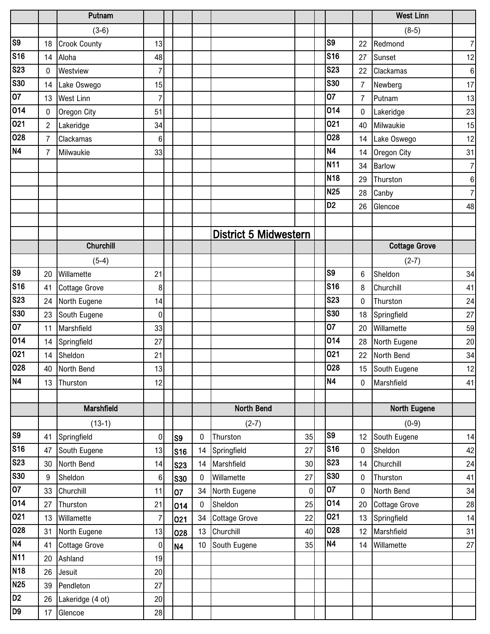|                        |                 | Putnam               |                |            |                 |                              |           |                |                | <b>West Linn</b>     |                  |
|------------------------|-----------------|----------------------|----------------|------------|-----------------|------------------------------|-----------|----------------|----------------|----------------------|------------------|
|                        |                 | $(3-6)$              |                |            |                 |                              |           |                |                | $(8-5)$              |                  |
| $\overline{\text{S9}}$ | 18              | <b>Crook County</b>  | 13             |            |                 |                              |           | S <sub>9</sub> | 22             | Redmond              | $\overline{7}$   |
| <b>S16</b>             | 14              | Aloha                | 48             |            |                 |                              |           | S16            | 27             | Sunset               | 12               |
| <b>S23</b>             | 0               | Westview             | $\overline{7}$ |            |                 |                              |           | <b>S23</b>     | 22             | Clackamas            | $\bf 6$          |
| <b>S30</b>             | 14              | Lake Oswego          | 15             |            |                 |                              |           | <b>S30</b>     | $\overline{7}$ | Newberg              | 17               |
| $\overline{07}$        | 13              | <b>West Linn</b>     | 7              |            |                 |                              |           | 07             | $\overline{7}$ | Putnam               | 13               |
| 014                    | $\mathbf 0$     | Oregon City          | 51             |            |                 |                              |           | 014            | $\mathbf 0$    | Lakeridge            | 23               |
| 021                    | $\overline{2}$  | Lakeridge            | 34             |            |                 |                              |           | 021            | 40             | Milwaukie            | 15               |
| 028                    | 7               | Clackamas            | $\,6$          |            |                 |                              |           | 028            | 14             | Lake Oswego          | 12               |
| <b>N4</b>              | 7               | Milwaukie            | 33             |            |                 |                              |           | N <sub>4</sub> | 14             | Oregon City          | 31               |
|                        |                 |                      |                |            |                 |                              |           | <b>N11</b>     | 34             | <b>Barlow</b>        | $\overline{7}$   |
|                        |                 |                      |                |            |                 |                              |           | <b>N18</b>     | 29             | Thurston             | $\boldsymbol{6}$ |
|                        |                 |                      |                |            |                 |                              |           | <b>N25</b>     | 28             | Canby                | $\overline{7}$   |
|                        |                 |                      |                |            |                 |                              |           | D <sub>2</sub> | 26             | Glencoe              | 48               |
|                        |                 |                      |                |            |                 |                              |           |                |                |                      |                  |
|                        |                 |                      |                |            |                 | <b>District 5 Midwestern</b> |           |                |                |                      |                  |
|                        |                 | <b>Churchill</b>     |                |            |                 |                              |           |                |                | <b>Cottage Grove</b> |                  |
|                        |                 | $(5-4)$              |                |            |                 |                              |           |                |                | $(2-7)$              |                  |
| S <sub>9</sub>         | 20              | Willamette           | 21             |            |                 |                              |           | S <sub>9</sub> | 6              | Sheldon              | 34               |
| <b>S16</b>             | 41              | <b>Cottage Grove</b> | 8              |            |                 |                              |           | <b>S16</b>     | 8              | Churchill            | 41               |
| <b>S23</b>             | 24              | North Eugene         | 14             |            |                 |                              |           | <b>S23</b>     | 0              | Thurston             | 24               |
| <b>S30</b>             | 23              | South Eugene         | 0              |            |                 |                              |           | <b>S30</b>     | 18             | Springfield          | 27               |
| $\overline{07}$        | 11              | Marshfield           | 33             |            |                 |                              |           | 07             | 20             | Willamette           | 59               |
| $\overline{014}$       | 14              | Springfield          | 27             |            |                 |                              |           | 014            | 28             | North Eugene         | 20               |
| 021                    | 14              | Sheldon              | 21             |            |                 |                              |           | 021            | 22             | North Bend           | 34               |
| 028                    | 40              | North Bend           | 13             |            |                 |                              |           | 028            |                | 15 South Eugene      | 12               |
| N4                     | 13              | Thurston             | 12             |            |                 |                              |           | <b>N4</b>      | $\mathbf 0$    | Marshfield           | 41               |
|                        |                 |                      |                |            |                 |                              |           |                |                |                      |                  |
|                        |                 | <b>Marshfield</b>    |                |            |                 | North Bend                   |           |                |                | <b>North Eugene</b>  |                  |
|                        |                 | $(13-1)$             |                |            |                 | $(2-7)$                      |           |                |                | $(0-9)$              |                  |
| S <sub>9</sub>         | 41              | Springfield          | $\pmb{0}$      | S9         | $\mathbf 0$     | Thurston                     | 35        | S <sub>9</sub> | 12             | South Eugene         | 14               |
| <b>S16</b>             | 47              | South Eugene         | 13             | <b>S16</b> | 14              | Springfield                  | 27        | <b>S16</b>     | 0              | Sheldon              | 42               |
| <b>S23</b>             | 30 <sup>°</sup> | North Bend           | 14             | <b>S23</b> | 14              | Marshfield                   | 30        | <b>S23</b>     | 14             | Churchill            | 24               |
| S30                    | 9               | Sheldon              | 6              | <b>S30</b> | $\mathbf 0$     | Willamette                   | 27        | <b>S30</b>     | $\mathbf 0$    | Thurston             | 41               |
| $\overline{07}$        | 33              | Churchill            | 11             | 07         | 34              | North Eugene                 | $\pmb{0}$ | 07             | $\mathbf 0$    | North Bend           | 34               |
| 014                    | 27              | Thurston             | 21             | 014        | $\bf{0}$        | Sheldon                      | 25        | 014            | 20             | <b>Cottage Grove</b> | 28               |
| 021                    | 13              | Willamette           | $\overline{7}$ | 021        | 34              | <b>Cottage Grove</b>         | 22        | 021            | 13             | Springfield          | 14               |
| 028                    | 31              | North Eugene         | 13             | 028        | 13              | Churchill                    | 40        | 028            | 12             | Marshfield           | 31               |
| N4                     | 41              | <b>Cottage Grove</b> | 0              | N4         | 10 <sup>°</sup> | South Eugene                 | 35        | N4             | 14             | Willamette           | 27               |
| <b>N11</b>             | 20              | Ashland              | 19             |            |                 |                              |           |                |                |                      |                  |
| N18                    | 26              | Jesuit               | 20             |            |                 |                              |           |                |                |                      |                  |
| N25                    | 39              | Pendleton            | 27             |            |                 |                              |           |                |                |                      |                  |
| D <sub>2</sub>         | 26              | Lakeridge (4 ot)     | 20             |            |                 |                              |           |                |                |                      |                  |
| D <sub>9</sub>         | 17              | Glencoe              | 28             |            |                 |                              |           |                |                |                      |                  |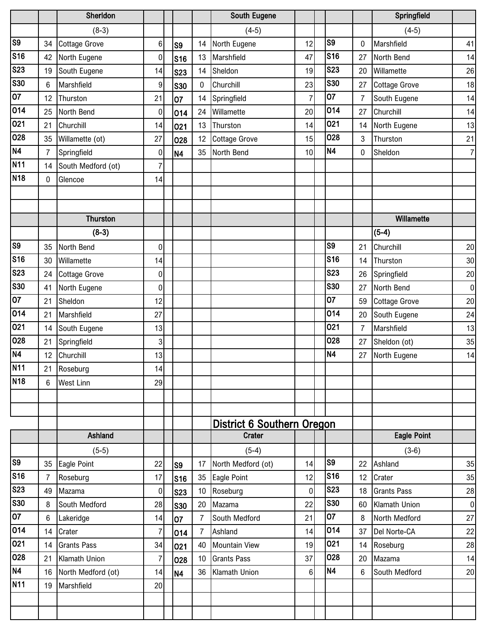|                 |                | Sherldon             |                |                |                | <b>South Eugene</b>               |                |                 |                | Springfield          |                |
|-----------------|----------------|----------------------|----------------|----------------|----------------|-----------------------------------|----------------|-----------------|----------------|----------------------|----------------|
|                 |                | $(8-3)$              |                |                |                | $(4-5)$                           |                |                 |                | $(4-5)$              |                |
| S <sub>9</sub>  | 34             | <b>Cottage Grove</b> | $6\phantom{.}$ | S <sub>9</sub> | 14             | North Eugene                      | 12             | S <sub>9</sub>  | 0              | Marshfield           | 41             |
| <b>S16</b>      | 42             | North Eugene         | $\overline{0}$ | <b>S16</b>     | 13             | Marshfield                        | 47             | <b>S16</b>      | 27             | North Bend           | 14             |
| <b>S23</b>      | 19             | South Eugene         | 14             | <b>S23</b>     | 14             | Sheldon                           | 19             | <b>S23</b>      | 20             | Willamette           | 26             |
| <b>S30</b>      | 6              | Marshfield           | $\overline{9}$ | <b>S30</b>     | $\mathbf 0$    | Churchill                         | 23             | <b>S30</b>      | 27             | <b>Cottage Grove</b> | 18             |
| 07              | 12             | Thurston             | 21             | 07             | 14             | Springfield                       | $\overline{7}$ | 07              | $\overline{7}$ | South Eugene         | 14             |
| 014             | 25             | North Bend           | $\overline{0}$ | 014            | 24             | Willamette                        | 20             | 014             | 27             | Churchill            | 14             |
| 021             | 21             | Churchill            | 14             | 021            | 13             | Thurston                          | 14             | 021             | 14             | North Eugene         | 13             |
| 028             | 35             | Willamette (ot)      | 27             | 028            | 12             | <b>Cottage Grove</b>              | 15             | 028             | 3              | Thurston             | 21             |
| N <sub>4</sub>  | $\overline{7}$ | Springfield          | $\overline{0}$ | N <sub>4</sub> | 35             | North Bend                        | 10             | <b>N4</b>       | 0              | Sheldon              | $\overline{7}$ |
| N <sub>11</sub> | 14             | South Medford (ot)   | $\overline{7}$ |                |                |                                   |                |                 |                |                      |                |
| N <sub>18</sub> | $\mathbf{0}$   | Glencoe              | 14             |                |                |                                   |                |                 |                |                      |                |
|                 |                |                      |                |                |                |                                   |                |                 |                |                      |                |
|                 |                |                      |                |                |                |                                   |                |                 |                |                      |                |
|                 |                | <b>Thurston</b>      |                |                |                |                                   |                |                 |                | Willamette           |                |
|                 |                | $(8-3)$              |                |                |                |                                   |                |                 |                | $(5-4)$              |                |
| S <sub>9</sub>  | 35             | North Bend           | 0              |                |                |                                   |                | S <sub>9</sub>  | 21             | Churchill            | 20             |
| <b>S16</b>      | 30             | Willamette           | 14             |                |                |                                   |                | <b>S16</b>      | 14             | Thurston             | 30             |
| <b>S23</b>      | 24             | <b>Cottage Grove</b> | $\overline{0}$ |                |                |                                   |                | <b>S23</b>      | 26             | Springfield          | 20             |
| <b>S30</b>      | 41             | North Eugene         | $\overline{0}$ |                |                |                                   |                | <b>S30</b>      | 27             | North Bend           | $\pmb{0}$      |
| $\overline{07}$ | 21             | Sheldon              | 12             |                |                |                                   |                | 07              | 59             | <b>Cottage Grove</b> | 20             |
| 014             | 21             | Marshfield           | 27             |                |                |                                   |                | 014             | 20             | South Eugene         | 24             |
| 021             | 14             | South Eugene         | 13             |                |                |                                   |                | 021             | $\overline{7}$ | Marshfield           | 13             |
| 028             | 21             | Springfield          | 3              |                |                |                                   |                | 028             | 27             | Sheldon (ot)         | 35             |
| N <sub>4</sub>  | 12             | Churchill            | 13             |                |                |                                   |                | <b>N4</b>       | 27             | North Eugene         | 14             |
| <b>N11</b>      | 21             | Roseburg             | 14             |                |                |                                   |                |                 |                |                      |                |
| <b>N18</b>      | 6              | <b>West Linn</b>     | 29             |                |                |                                   |                |                 |                |                      |                |
|                 |                |                      |                |                |                |                                   |                |                 |                |                      |                |
|                 |                |                      |                |                |                |                                   |                |                 |                |                      |                |
|                 |                |                      |                |                |                | <b>District 6 Southern Oregon</b> |                |                 |                |                      |                |
|                 |                | Ashland              |                |                |                | <b>Crater</b>                     |                |                 |                | <b>Eagle Point</b>   |                |
|                 |                | $(5-5)$              |                |                |                | $(5-4)$                           |                |                 |                | $(3-6)$              |                |
| S <sub>9</sub>  | 35             | Eagle Point          | 22             | S <sub>9</sub> | 17             | North Medford (ot)                | 14             | S <sub>9</sub>  | 22             | Ashland              | 35             |
| <b>S16</b>      | $\overline{7}$ | Roseburg             | 17             | S16            | 35             | <b>Eagle Point</b>                | 12             | S <sub>16</sub> | 12             | Crater               | 35             |
| <b>S23</b>      | 49             | Mazama               | $\overline{0}$ | <b>S23</b>     | 10             | Roseburg                          | $\mathbf 0$    | <b>S23</b>      | 18             | <b>Grants Pass</b>   | 28             |
| <b>S30</b>      | 8              | South Medford        | 28             | <b>S30</b>     | 20             | Mazama                            | 22             | <b>S30</b>      | 60             | Klamath Union        | $\pmb{0}$      |
| 07              | 6              | Lakeridge            | 14             | 07             | 7              | South Medford                     | 21             | 07              | 8              | North Medford        | 27             |
| 014             | 14             | Crater               | $\overline{7}$ | 014            | $\overline{7}$ | Ashland                           | 14             | 014             | 37             | Del Norte-CA         | 22             |
| 021             | 14             | <b>Grants Pass</b>   | 34             | 021            | 40             | <b>Mountain View</b>              | 19             | 021             | 14             | Roseburg             | 28             |
| 028             | 21             | Klamath Union        | $\overline{7}$ | 028            | 10             | <b>Grants Pass</b>                | 37             | 028             | 20             | Mazama               | 14             |
| N4              | 16             | North Medford (ot)   | 14             | <b>N4</b>      | 36             | Klamath Union                     | $6\phantom{a}$ | <b>N4</b>       | 6              | South Medford        | 20             |
| N <sub>11</sub> | 19             | Marshfield           | 20             |                |                |                                   |                |                 |                |                      |                |
|                 |                |                      |                |                |                |                                   |                |                 |                |                      |                |
|                 |                |                      |                |                |                |                                   |                |                 |                |                      |                |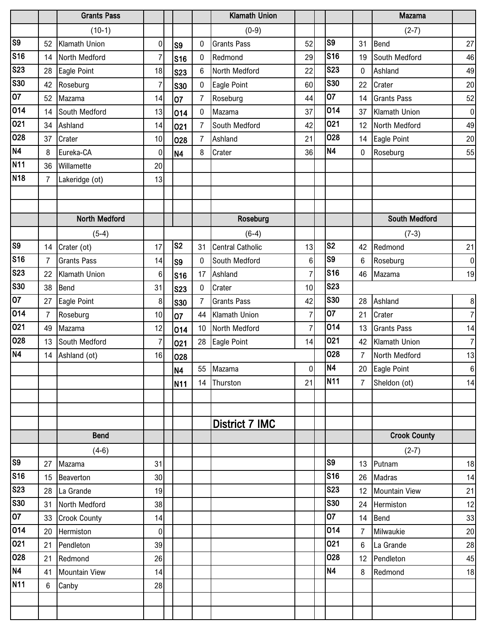|                 |                | <b>Grants Pass</b>   |                  |                |                  | <b>Klamath Union</b>    |                |                 |                  | <b>Mazama</b>        |                  |
|-----------------|----------------|----------------------|------------------|----------------|------------------|-------------------------|----------------|-----------------|------------------|----------------------|------------------|
|                 |                | $(10-1)$             |                  |                |                  | $(0-9)$                 |                |                 |                  | $(2-7)$              |                  |
| S <sub>9</sub>  | 52             | Klamath Union        | $\overline{0}$   | S <sub>9</sub> | 0                | <b>Grants Pass</b>      | 52             | S <sub>9</sub>  | 31               | Bend                 | 27               |
| <b>S16</b>      | 14             | North Medford        | $\overline{7}$   | <b>S16</b>     | $\mathbf 0$      | Redmond                 | 29             | <b>S16</b>      | 19               | South Medford        | 46               |
| <b>S23</b>      | 28             | Eagle Point          | 18               | <b>S23</b>     | $6\phantom{1}6$  | North Medford           | 22             | <b>S23</b>      | $\boldsymbol{0}$ | Ashland              | 49               |
| <b>S30</b>      | 42             | Roseburg             | $\overline{7}$   | <b>S30</b>     | $\boldsymbol{0}$ | Eagle Point             | 60             | <b>S30</b>      | 22               | Crater               | 20               |
| $\overline{07}$ | 52             | Mazama               | 14               | 07             | $\overline{7}$   | Roseburg                | 44             | 07              | 14               | <b>Grants Pass</b>   | 52               |
| 014             | 14             | South Medford        | 13               | 014            | $\mathbf 0$      | Mazama                  | 37             | 014             | 37               | <b>Klamath Union</b> | $\pmb{0}$        |
| 021             | 34             | Ashland              | 14               | 021            | $\overline{7}$   | South Medford           | 42             | 021             | 12               | North Medford        | 49               |
| 028             | 37             | Crater               | 10               | 028            | $\overline{7}$   | Ashland                 | 21             | 028             | 14               | Eagle Point          | 20               |
| N4              | 8              | Eureka-CA            | $\overline{0}$   | <b>N4</b>      | 8                | Crater                  | 36             | <b>N4</b>       | $\mathbf{0}$     | Roseburg             | 55               |
| <b>N11</b>      | 36             | Willamette           | 20               |                |                  |                         |                |                 |                  |                      |                  |
| <b>N18</b>      | $\overline{7}$ | Lakeridge (ot)       | 13               |                |                  |                         |                |                 |                  |                      |                  |
|                 |                |                      |                  |                |                  |                         |                |                 |                  |                      |                  |
|                 |                |                      |                  |                |                  |                         |                |                 |                  |                      |                  |
|                 |                | North Medford        |                  |                |                  | Roseburg                |                |                 |                  | <b>South Medford</b> |                  |
|                 |                | $(5-4)$              |                  |                |                  | $(6-4)$                 |                |                 |                  | $(7-3)$              |                  |
| S <sub>9</sub>  | 14             | Crater (ot)          | 17               | S <sub>2</sub> | 31               | <b>Central Catholic</b> | 13             | S <sub>2</sub>  | 42               | Redmond              | 21               |
| <b>S16</b>      | $\overline{7}$ | <b>Grants Pass</b>   | 14               | S <sub>9</sub> | $\mathbf 0$      | South Medford           | $6\phantom{1}$ | S <sub>9</sub>  | 6                | Roseburg             | $\pmb{0}$        |
| <b>S23</b>      | 22             | Klamath Union        | $6\phantom{.}$   | <b>S16</b>     | 17               | Ashland                 | $\overline{7}$ | <b>S16</b>      | 46               | Mazama               | 19               |
| <b>S30</b>      | 38             | <b>Bend</b>          | 31               | <b>S23</b>     | $\mathbf 0$      | Crater                  | 10             | <b>S23</b>      |                  |                      |                  |
| 07              | 27             | Eagle Point          | $\boldsymbol{8}$ | <b>S30</b>     | $\overline{7}$   | <b>Grants Pass</b>      | 42             | <b>S30</b>      | 28               | Ashland              | $\bf 8$          |
| 014             | $\overline{7}$ | Roseburg             | 10 <sup>1</sup>  | 07             | 44               | Klamath Union           | $\overline{7}$ | 07              | 21               | Crater               | $\overline{7}$   |
| 021             | 49             | Mazama               | 12               | 014            | 10               | North Medford           | $\overline{7}$ | 014             | 13               | <b>Grants Pass</b>   | 14               |
| 028             | 13             | South Medford        | $\overline{7}$   | 021            |                  | 28 Eagle Point          | 14             | 021             | 42               | <b>Klamath Union</b> | $\overline{7}$   |
| N <sub>4</sub>  | 14             | Ashland (ot)         | 16               | 028            |                  |                         |                | 028             | $\overline{7}$   | North Medford        | 13               |
|                 |                |                      |                  | <b>N4</b>      |                  | 55 Mazama               | $\overline{0}$ | N4              | 20               | Eagle Point          | $\boldsymbol{6}$ |
|                 |                |                      |                  | <b>N11</b>     |                  | 14 Thurston             | 21             | N <sub>11</sub> | $\overline{7}$   | Sheldon (ot)         | 14               |
|                 |                |                      |                  |                |                  |                         |                |                 |                  |                      |                  |
|                 |                |                      |                  |                |                  |                         |                |                 |                  |                      |                  |
|                 |                |                      |                  |                |                  | <b>District 7 IMC</b>   |                |                 |                  |                      |                  |
|                 |                | <b>Bend</b>          |                  |                |                  |                         |                |                 |                  | <b>Crook County</b>  |                  |
|                 |                | $(4-6)$              |                  |                |                  |                         |                |                 |                  | $(2-7)$              |                  |
| S <sub>9</sub>  | 27             | Mazama               | 31               |                |                  |                         |                | S <sub>9</sub>  | 13               | Putnam               | 18               |
| S <sub>16</sub> |                | 15 Beaverton         | 30               |                |                  |                         |                | <b>S16</b>      | 26               | Madras               | 14               |
| <b>S23</b>      | 28             | La Grande            | 19               |                |                  |                         |                | <b>S23</b>      | 12               | <b>Mountain View</b> | 21               |
| <b>S30</b>      | 31             | North Medford        | 38               |                |                  |                         |                | <b>S30</b>      | 24               | Hermiston            | 12               |
| 07              | 33             | <b>Crook County</b>  | 14               |                |                  |                         |                | 07              | 14               | Bend                 | 33               |
| 014             | 20             | Hermiston            | 0                |                |                  |                         |                | 014             | $\overline{7}$   | Milwaukie            | 20               |
| 021             | 21             | Pendleton            | 39               |                |                  |                         |                | 021             | 6                | La Grande            | 28               |
| 028             | 21             | Redmond              | 26               |                |                  |                         |                | 028             | 12               | Pendleton            | 45               |
| N4              | 41             | <b>Mountain View</b> | 14               |                |                  |                         |                | <b>N4</b>       | 8                | Redmond              | 18               |
| N <sub>11</sub> | 6              | Canby                | 28               |                |                  |                         |                |                 |                  |                      |                  |
|                 |                |                      |                  |                |                  |                         |                |                 |                  |                      |                  |
|                 |                |                      |                  |                |                  |                         |                |                 |                  |                      |                  |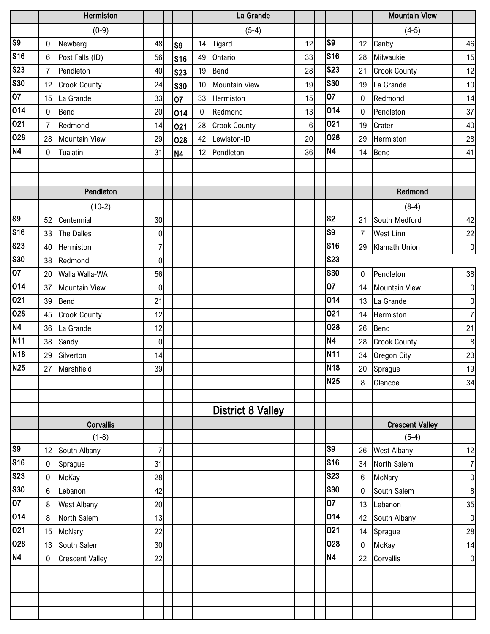|                         |                 | Hermiston              |                |                |                 | La Grande                |    |                       |              | <b>Mountain View</b>   |                |
|-------------------------|-----------------|------------------------|----------------|----------------|-----------------|--------------------------|----|-----------------------|--------------|------------------------|----------------|
|                         |                 | $(0-9)$                |                |                |                 | $(5-4)$                  |    |                       |              | $(4-5)$                |                |
| S <sub>9</sub>          | 0               | Newberg                | 48             | S <sub>9</sub> | 14              | Tigard                   | 12 | S9                    | 12           | Canby                  | 46             |
| <b>S16</b>              | 6               | Post Falls (ID)        | 56             | S16            | 49              | Ontario                  | 33 | <b>S16</b>            | 28           | Milwaukie              | 15             |
| <b>S23</b>              | $\overline{7}$  | Pendleton              | 40             | <b>S23</b>     | 19              | Bend                     | 28 | <b>S23</b>            | 21           | <b>Crook County</b>    | 12             |
| <b>S30</b>              | 12 <sup>°</sup> | <b>Crook County</b>    | 24             | <b>S30</b>     | 10 <sup>°</sup> | <b>Mountain View</b>     | 19 | <b>S30</b>            | 19           | La Grande              | 10             |
| $\overline{07}$         | 15              | La Grande              | 33             | 07             | 33              | Hermiston                | 15 | 07                    | 0            | Redmond                | 14             |
| $\overline{014}$        | $\mathbf 0$     | Bend                   | 20             | 014            | $\mathbf 0$     | Redmond                  | 13 | 014                   | $\mathbf 0$  | Pendleton              | 37             |
| 021                     | 7               | Redmond                | 14             | 021            | 28              | <b>Crook County</b>      | 6  | 021                   | 19           | Crater                 | 40             |
| 028                     | 28              | <b>Mountain View</b>   | 29             | 028            | 42              | Lewiston-ID              | 20 | 028                   | 29           | Hermiston              | 28             |
| <b>N4</b>               | $\mathbf 0$     | Tualatin               | 31             | N <sub>4</sub> |                 | 12 Pendleton             | 36 | N4                    | 14           | Bend                   | 41             |
|                         |                 |                        |                |                |                 |                          |    |                       |              |                        |                |
|                         |                 |                        |                |                |                 |                          |    |                       |              |                        |                |
|                         |                 | Pendleton              |                |                |                 |                          |    |                       |              | Redmond                |                |
|                         |                 | $(10-2)$               |                |                |                 |                          |    |                       |              | $(8-4)$                |                |
| S <sub>9</sub>          | 52              | Centennial             | 30             |                |                 |                          |    | S <sub>2</sub>        | 21           | South Medford          | 42             |
| S <sub>16</sub>         | 33              | The Dalles             | $\pmb{0}$      |                |                 |                          |    | $\overline{\text{S}}$ | 7            | <b>West Linn</b>       | 22             |
| $\overline{\text{S}23}$ | 40              | Hermiston              | 7              |                |                 |                          |    | <b>S16</b>            | 29           | Klamath Union          | $\pmb{0}$      |
| <b>S30</b>              | 38              | Redmond                | $\mathbf 0$    |                |                 |                          |    | <b>S23</b>            |              |                        |                |
| 07                      | 20              | Walla Walla-WA         | 56             |                |                 |                          |    | <b>S30</b>            | $\mathbf 0$  | Pendleton              | 38             |
| 014                     | 37              | <b>Mountain View</b>   | $\mathbf 0$    |                |                 |                          |    | 07                    | 14           | <b>Mountain View</b>   | $\pmb{0}$      |
| 021                     | 39              | <b>Bend</b>            | 21             |                |                 |                          |    | 014                   | 13           | La Grande              | $\pmb{0}$      |
| 028                     | 45              | <b>Crook County</b>    | 12             |                |                 |                          |    | 021                   | 14           | Hermiston              | $\overline{7}$ |
| N4                      | 36              | La Grande              | 12             |                |                 |                          |    | 028                   | 26           | <b>Bend</b>            | 21             |
| <b>N11</b>              | 38              | Sandy                  | $\pmb{0}$      |                |                 |                          |    | N <sub>4</sub>        | 28           | <b>Crook County</b>    | $\, 8$         |
| <b>N18</b>              | 29              | Silverton              | 14             |                |                 |                          |    | <b>N11</b>            |              | 34 Oregon City         | 23             |
| <b>N25</b>              | 27              | Marshfield             | 39             |                |                 |                          |    | N <sub>18</sub>       |              | 20 Sprague             | $19\,$         |
|                         |                 |                        |                |                |                 |                          |    | <b>N25</b>            | 8            | Glencoe                | 34             |
|                         |                 |                        |                |                |                 |                          |    |                       |              |                        |                |
|                         |                 |                        |                |                |                 | <b>District 8 Valley</b> |    |                       |              |                        |                |
|                         |                 | <b>Corvallis</b>       |                |                |                 |                          |    |                       |              | <b>Crescent Valley</b> |                |
|                         |                 | $(1-8)$                |                |                |                 |                          |    |                       |              | $(5-4)$                |                |
| S <sub>9</sub>          | 12 <sup>°</sup> | South Albany           | $\overline{7}$ |                |                 |                          |    | S9                    | 26           | <b>West Albany</b>     | 12             |
| <b>S16</b>              | 0               | Sprague                | 31             |                |                 |                          |    | <b>S16</b>            |              | 34 North Salem         | $\overline{7}$ |
| <b>S23</b>              | 0               | McKay                  | 28             |                |                 |                          |    | <b>S23</b>            | 6            | <b>McNary</b>          | $\pmb{0}$      |
| S30                     | 6               | Lebanon                | 42             |                |                 |                          |    | <b>S30</b>            | $\mathbf 0$  | South Salem            | $\, 8$         |
| $\overline{07}$         | 8               | <b>West Albany</b>     | 20             |                |                 |                          |    | 07                    |              | 13 Lebanon             | 35             |
| 014                     | 8               | North Salem            | 13             |                |                 |                          |    | 014                   | 42           | South Albany           | $\pmb{0}$      |
| 021                     |                 | 15 McNary              | 22             |                |                 |                          |    | 021                   |              | 14 Sprague             | 28             |
| 028                     | 13              | South Salem            | 30             |                |                 |                          |    | 028                   | $\mathbf{0}$ | McKay                  | 14             |
| <b>N4</b>               | $\overline{0}$  | <b>Crescent Valley</b> | 22             |                |                 |                          |    | N <sub>4</sub>        | 22           | Corvallis              | $\pmb{0}$      |
|                         |                 |                        |                |                |                 |                          |    |                       |              |                        |                |
|                         |                 |                        |                |                |                 |                          |    |                       |              |                        |                |
|                         |                 |                        |                |                |                 |                          |    |                       |              |                        |                |
|                         |                 |                        |                |                |                 |                          |    |                       |              |                        |                |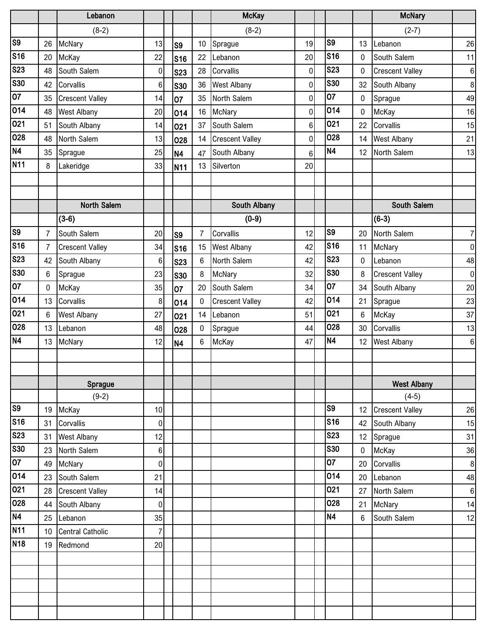|                         |                 | Lebanon                 |                  |                |                 | <b>McKay</b>           |                |                 |              | <b>McNary</b>          |                  |
|-------------------------|-----------------|-------------------------|------------------|----------------|-----------------|------------------------|----------------|-----------------|--------------|------------------------|------------------|
|                         |                 | $(8-2)$                 |                  |                |                 | $(8-2)$                |                |                 |              | $(2-7)$                |                  |
| $\overline{\text{S9}}$  | 26              | McNary                  | 13               | S <sub>9</sub> | 10 <sup>°</sup> | Sprague                | 19             | S <sub>9</sub>  | 13           | Lebanon                | 26               |
| <b>S16</b>              | 20              | McKay                   | 22               | <b>S16</b>     | 22              | Lebanon                | 20             | S16             | $\mathbf{0}$ | South Salem            | 11               |
| <b>S23</b>              | 48              | South Salem             | $\pmb{0}$        | <b>S23</b>     | 28              | Corvallis              | $\mathbf 0$    | <b>S23</b>      | 0            | <b>Crescent Valley</b> | $\boldsymbol{6}$ |
| <b>S30</b>              | 42              | Corvallis               | $\boldsymbol{6}$ | <b>S30</b>     | 36              | <b>West Albany</b>     | $\pmb{0}$      | <b>S30</b>      | 32           | South Albany           | $\,8\,$          |
| $\overline{07}$         | 35              | <b>Crescent Valley</b>  | 14               | 07             | 35              | North Salem            | $\pmb{0}$      | $\overline{07}$ | 0            | Sprague                | 49               |
| $\overline{014}$        | 48              | <b>West Albany</b>      | 20               | 014            | 16              | McNary                 | 0              | 014             | $\mathbf 0$  | McKay                  | 16               |
| 021                     | 51              | South Albany            | 14               | 021            | 37              | South Salem            | 6              | 021             | 22           | Corvallis              | 15               |
| $\overline{0}$ 28       | 48              | North Salem             | 13               | 028            | 14              | <b>Crescent Valley</b> | $\mathbf 0$    | 028             | 14           | <b>West Albany</b>     | 21               |
| N4                      | 35              | Sprague                 | 25               | <b>N4</b>      | 47              | South Albany           | $6\phantom{1}$ | N4              | 12           | North Salem            | 13               |
| <b>N11</b>              | 8               | Lakeridge               | 33               | <b>N11</b>     | 13              | Silverton              | 20             |                 |              |                        |                  |
|                         |                 |                         |                  |                |                 |                        |                |                 |              |                        |                  |
|                         |                 |                         |                  |                |                 |                        |                |                 |              |                        |                  |
|                         |                 | <b>North Salem</b>      |                  |                |                 | South Albany           |                |                 |              | South Salem            |                  |
|                         |                 | $(3-6)$                 |                  |                |                 | $(0-9)$                |                |                 |              | $(6-3)$                |                  |
| $\overline{\text{S9}}$  | $\overline{7}$  | South Salem             | 20               | S <sub>9</sub> | 7               | Corvallis              | 12             | S <sub>9</sub>  | 20           | North Salem            | $\boldsymbol{7}$ |
| <b>S16</b>              | $\overline{7}$  | <b>Crescent Valley</b>  | 34               | <b>S16</b>     | 15              | <b>West Albany</b>     | 42             | S16             | 11           | McNary                 | $\pmb{0}$        |
| <b>S23</b>              | 42              | South Albany            | 6                | <b>S23</b>     | 6               | North Salem            | 42             | <b>S23</b>      | 0            | Lebanon                | 48               |
| <b>S30</b>              | 6               | Sprague                 | 23               | <b>S30</b>     | 8               | McNary                 | 32             | <b>S30</b>      | 8            | <b>Crescent Valley</b> | $\pmb{0}$        |
| $\overline{07}$         | 0               | McKay                   | 35               | 07             | 20              | South Salem            | 34             | 07              | 34           | South Albany           | 20               |
| 014                     | 13              | Corvallis               | 8                | 014            | 0               | <b>Crescent Valley</b> | 42             | 014             | 21           | Sprague                | 23               |
| $\overline{021}$        | 6               | <b>West Albany</b>      | 27               | 021            | 14              | Lebanon                | 51             | 021             | $\,6\,$      | McKay                  | 37               |
| 028                     | 13              | Lebanon                 | 48               | 028            | 0               | Sprague                | 44             | 028             | 30           | Corvallis              | 13               |
| <b>N4</b>               | 13              | McNary                  | 12               | <b>N4</b>      | 6               | McKay                  | 47             | N <sub>4</sub>  | 12           | <b>West Albany</b>     | $\boldsymbol{6}$ |
|                         |                 |                         |                  |                |                 |                        |                |                 |              |                        |                  |
|                         |                 |                         |                  |                |                 |                        |                |                 |              |                        |                  |
|                         |                 | Sprague                 |                  |                |                 |                        |                |                 |              | <b>West Albany</b>     |                  |
|                         |                 | $(9-2)$                 |                  |                |                 |                        |                |                 |              | $(4-5)$                |                  |
| $\overline{\text{S9}}$  | 19              | McKay                   | 10               |                |                 |                        |                | S <sub>9</sub>  | 12           | <b>Crescent Valley</b> | 26               |
| <b>S16</b>              | 31              | Corvallis               | $\mathbf 0$      |                |                 |                        |                | <b>S16</b>      | 42           | South Albany           | 15               |
| <b>S23</b>              | 31              | <b>West Albany</b>      | 12               |                |                 |                        |                | <b>S23</b>      | 12           | Sprague                | 31               |
| $\overline{\text{S}}30$ | 23              | North Salem             | $\,6\,$          |                |                 |                        |                | <b>S30</b>      | $\mathbf 0$  | McKay                  | 36               |
| $\overline{07}$         | 49              | McNary                  | $\mathbf 0$      |                |                 |                        |                | 07              | 20           | Corvallis              | $\, 8$           |
| 014                     | 23              | South Salem             | 21               |                |                 |                        |                | 014             | 20           | Lebanon                | 48               |
| 021                     | 28              | <b>Crescent Valley</b>  | 14               |                |                 |                        |                | 021             | 27           | North Salem            | $\boldsymbol{6}$ |
| 028                     | 44              | South Albany            | $\mathbf 0$      |                |                 |                        |                | 028             | 21           | McNary                 | 14               |
| <b>N4</b>               | 25              | Lebanon                 | 35               |                |                 |                        |                | N <sub>4</sub>  | 6            | South Salem            | 12               |
| <b>N11</b>              | 10 <sup>°</sup> | <b>Central Catholic</b> | $\overline{7}$   |                |                 |                        |                |                 |              |                        |                  |
| <b>N18</b>              | 19              | Redmond                 | 20               |                |                 |                        |                |                 |              |                        |                  |
|                         |                 |                         |                  |                |                 |                        |                |                 |              |                        |                  |
|                         |                 |                         |                  |                |                 |                        |                |                 |              |                        |                  |
|                         |                 |                         |                  |                |                 |                        |                |                 |              |                        |                  |
|                         |                 |                         |                  |                |                 |                        |                |                 |              |                        |                  |
|                         |                 |                         |                  |                |                 |                        |                |                 |              |                        |                  |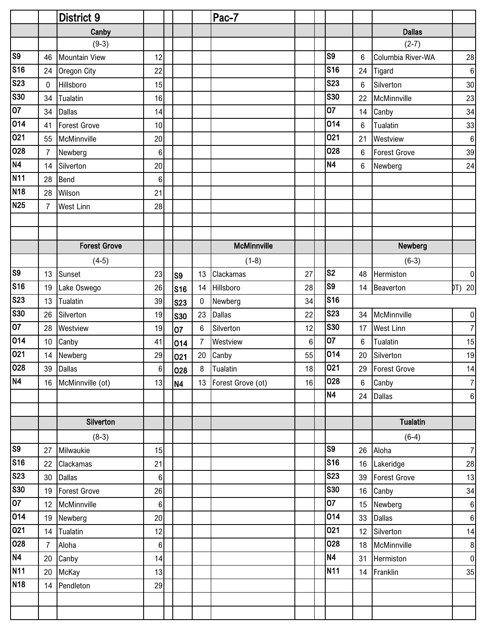|                        |                 | <b>District 9</b>    |                 |                |                 | Pac-Z                |                |                 |                 |                     |                  |
|------------------------|-----------------|----------------------|-----------------|----------------|-----------------|----------------------|----------------|-----------------|-----------------|---------------------|------------------|
|                        |                 | Canby                |                 |                |                 |                      |                |                 |                 | <b>Dallas</b>       |                  |
|                        |                 | $(9-3)$              |                 |                |                 |                      |                |                 |                 | $(2-7)$             |                  |
| $\overline{\text{S}}$  | 46              | <b>Mountain View</b> | 12              |                |                 |                      |                | S <sub>9</sub>  | 6               | Columbia River-WA   | 28               |
| <b>S16</b>             | 24              | Oregon City          | 22              |                |                 |                      |                | <b>S16</b>      | 24              | Tigard              | $\boldsymbol{6}$ |
| <b>S23</b>             | $\mathbf 0$     | Hillsboro            | 15              |                |                 |                      |                | <b>S23</b>      | 6               | Silverton           | 30               |
| S30                    | 34              | Tualatin             | 16              |                |                 |                      |                | <b>S30</b>      | 22              | McMinnville         | 23               |
| $\overline{07}$        | 34              | <b>Dallas</b>        | 14              |                |                 |                      |                | 07              | 14              | Canby               | 34               |
| 014                    | 41              | Forest Grove         | 10              |                |                 |                      |                | 014             | $6\phantom{1}6$ | Tualatin            | 33               |
| 021                    | 55              | McMinnville          | 20              |                |                 |                      |                | 021             | 21              | Westview            | $\boldsymbol{6}$ |
| 028                    | $\overline{7}$  | Newberg              | 6 <sup>1</sup>  |                |                 |                      |                | 028             | $6\phantom{1}6$ | <b>Forest Grove</b> | 39               |
| N4                     | 14              | Silverton            | 20              |                |                 |                      |                | <b>N4</b>       | $6\phantom{1}6$ | Newberg             | 24               |
| <b>N11</b>             | 28              | Bend                 | $6\phantom{.}$  |                |                 |                      |                |                 |                 |                     |                  |
| N <sub>18</sub>        | 28              | Wilson               | 21              |                |                 |                      |                |                 |                 |                     |                  |
| <b>N25</b>             | $\overline{7}$  | <b>West Linn</b>     | 28              |                |                 |                      |                |                 |                 |                     |                  |
|                        |                 |                      |                 |                |                 |                      |                |                 |                 |                     |                  |
|                        |                 |                      |                 |                |                 |                      |                |                 |                 |                     |                  |
|                        |                 | <b>Forest Grove</b>  |                 |                |                 | <b>McMinnville</b>   |                |                 |                 | Newberg             |                  |
|                        |                 | $(4-5)$              |                 |                |                 | $(1-8)$              |                |                 |                 | $(6-3)$             |                  |
| $\overline{\text{S}}$  | 13              | Sunset               | 23              | S <sub>9</sub> | 13              | Clackamas            | 27             | S <sub>2</sub>  | 48              | Hermiston           | $\pmb{0}$        |
| <b>S16</b>             | 19              | Lake Oswego          | 26              | S16            | 14              | Hillsboro            | 28             | S <sub>9</sub>  | 14              | Beaverton           | DT) 20           |
| <b>S23</b>             | 13              | Tualatin             | 39              | <b>S23</b>     | $\overline{0}$  | Newberg              | 34             | S <sub>16</sub> |                 |                     |                  |
| <b>S30</b>             | 26              | Silverton            | 19              | <b>S30</b>     | 23              | <b>Dallas</b>        | 22             | <b>S23</b>      | 34              | McMinnville         | $\pmb{0}$        |
| $\overline{07}$        | 28              | Westview             | 19              | 07             | $6\phantom{1}6$ | Silverton            | 12             | <b>S30</b>      | 17              | <b>West Linn</b>    | $\overline{7}$   |
| 014                    | 10 <sup>°</sup> | Canby                | 41              | 014            | $\overline{7}$  | Westview             | $6\phantom{1}$ | 07              | $6\phantom{1}6$ | Tualatin            | 15               |
| 021                    | 14              | Newberg              | 29              | 021            | 20              | Canby                | 55             | 014             | 20              | Silverton           | 19               |
| 028                    |                 | 39 Dallas            | 6               | 028            | 8               | Tualatin             | 18             | 021             |                 | 29 Forest Grove     | 14               |
| N4                     |                 | 16 McMinnville (ot)  | 13              | N4             |                 | 13 Forest Grove (ot) | 16             | 028             | $6\phantom{1}$  | Canby               | $\overline{7}$   |
|                        |                 |                      |                 |                |                 |                      |                | <b>N4</b>       |                 | 24 Dallas           | $\boldsymbol{6}$ |
|                        |                 |                      |                 |                |                 |                      |                |                 |                 |                     |                  |
|                        |                 | Silverton            |                 |                |                 |                      |                |                 |                 | <b>Tualatin</b>     |                  |
|                        |                 | $(8-3)$              |                 |                |                 |                      |                |                 |                 | $(6-4)$             |                  |
| $\overline{\text{S9}}$ | 27              | Milwaukie            | 15              |                |                 |                      |                | S <sub>9</sub>  | 26              | Aloha               | $\overline{7}$   |
| s <sub>16</sub>        | 22              | Clackamas            | 21              |                |                 |                      |                | <b>S16</b>      |                 | 16 Lakeridge        | 28               |
| <b>S23</b>             |                 | 30 Dallas            | 6 <sup>1</sup>  |                |                 |                      |                | <b>S23</b>      | 39              | Forest Grove        | 13               |
| <b>S30</b>             |                 | 19 Forest Grove      | 26              |                |                 |                      |                | <b>S30</b>      |                 | 16 Canby            | 34               |
| $ 07\rangle$           |                 | 12 McMinnville       | 6               |                |                 |                      |                | 07              | 15              | Newberg             | $\,6\,$          |
| 014                    |                 | 19 Newberg           | 20 <sub>l</sub> |                |                 |                      |                | 014             | 33              | Dallas              | $\boldsymbol{6}$ |
| 021                    |                 | 14 Tualatin          | 12              |                |                 |                      |                | 021             |                 | 12 Silverton        | 14               |
| 028                    | $\overline{7}$  | Aloha                | $6 \mid$        |                |                 |                      |                | 028             | 18              | McMinnville         | $\bf 8$          |
| N4                     |                 | 20 Canby             | 14              |                |                 |                      |                | <b>N4</b>       | 31              | Hermiston           | $\pmb{0}$        |
| <b>N11</b>             |                 | 20 McKay             | 13              |                |                 |                      |                | <b>N11</b>      |                 | 14 Franklin         | 35               |
| <b>N18</b>             |                 | 14 Pendleton         | 29              |                |                 |                      |                |                 |                 |                     |                  |
|                        |                 |                      |                 |                |                 |                      |                |                 |                 |                     |                  |
|                        |                 |                      |                 |                |                 |                      |                |                 |                 |                     |                  |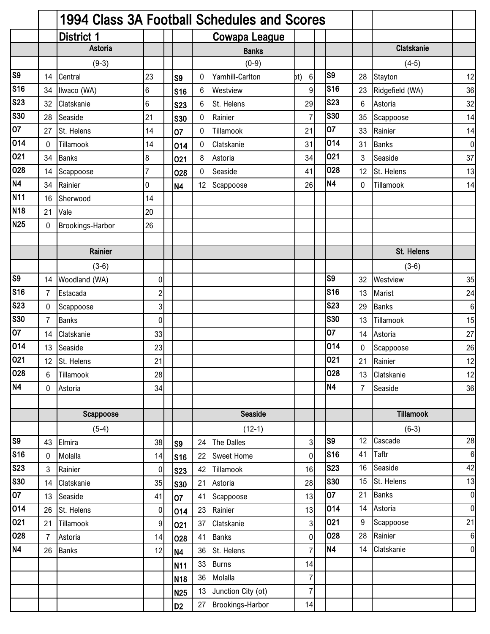|                          |                | 1994 Class 3A Football Schedules and Scores |                         |                 |              |                      |                         |                |              |                   |                  |
|--------------------------|----------------|---------------------------------------------|-------------------------|-----------------|--------------|----------------------|-------------------------|----------------|--------------|-------------------|------------------|
|                          |                | <b>District 1</b>                           |                         |                 |              | <b>Cowapa League</b> |                         |                |              |                   |                  |
|                          |                | Astoria                                     |                         |                 |              | <b>Banks</b>         |                         |                |              | <b>Clatskanie</b> |                  |
|                          |                | $(9-3)$                                     |                         |                 |              | $(0-9)$              |                         |                |              | $(4-5)$           |                  |
| S <sub>9</sub>           | 14             | Central                                     | 23                      | S <sub>9</sub>  | 0            | Yamhill-Carlton      | $6 \overline{6}$<br>bt) | S <sub>9</sub> | 28           | Stayton           | 12               |
| S <sub>16</sub>          | 34             | Ilwaco (WA)                                 | $6\phantom{.}6$         | <b>S16</b>      | 6            | Westview             | 9 <sup>1</sup>          | S16            | 23           | Ridgefield (WA)   | 36               |
| S23                      | 32             | Clatskanie                                  | $\,6$                   | <b>S23</b>      | 6            | St. Helens           | 29                      | <b>S23</b>     | 6            | Astoria           | 32               |
| $\overline{\text{S30}}$  | 28             | Seaside                                     | 21                      | <b>S30</b>      | $\mathbf{0}$ | Rainier              | $\overline{7}$          | <b>S30</b>     | 35           | Scappoose         | 14               |
| $\overline{07}$          | 27             | St. Helens                                  | 14                      | 07              | $\mathbf 0$  | Tillamook            | 21                      | 07             | 33           | Rainier           | 14               |
| 014                      | $\mathbf 0$    | Tillamook                                   | 14                      | 014             | 0            | Clatskanie           | 31                      | 014            | 31           | <b>Banks</b>      | $\pmb{0}$        |
| 021                      | 34             | <b>Banks</b>                                | $\bf{8}$                | 021             | 8            | Astoria              | 34                      | 021            | 3            | Seaside           | 37               |
| 028                      | 14             | Scappoose                                   | $\overline{7}$          | 028             | $\mathbf 0$  | Seaside              | 41                      | 028            | 12           | St. Helens        | 13               |
| <b>N4</b>                | 34             | Rainier                                     | 0                       | <b>N4</b>       | 12           | Scappoose            | 26                      | N4             | $\mathbf{0}$ | Tillamook         | 14               |
| <b>N11</b>               | 16             | Sherwood                                    | 14                      |                 |              |                      |                         |                |              |                   |                  |
| <b>N18</b>               | 21             | Vale                                        | 20                      |                 |              |                      |                         |                |              |                   |                  |
| <b>N25</b>               | 0              | Brookings-Harbor                            | 26                      |                 |              |                      |                         |                |              |                   |                  |
|                          |                |                                             |                         |                 |              |                      |                         |                |              |                   |                  |
|                          |                | Rainier                                     |                         |                 |              |                      |                         |                |              | St. Helens        |                  |
|                          |                | $(3-6)$                                     |                         |                 |              |                      |                         |                |              | $(3-6)$           |                  |
| S <sub>9</sub>           | 14             | Woodland (WA)                               | 0                       |                 |              |                      |                         | S <sub>9</sub> | 32           | Westview          | 35               |
| S <sub>16</sub>          | $\overline{7}$ | Estacada                                    | $\overline{\mathbf{c}}$ |                 |              |                      |                         | S16            | 13           | Marist            | 24               |
| S <sub>23</sub>          | 0              | Scappoose                                   | $\overline{3}$          |                 |              |                      |                         | <b>S23</b>     | 29           | <b>Banks</b>      | $\,6$            |
| $\overline{\text{S}30}$  | $\overline{7}$ | <b>Banks</b>                                | $\pmb{0}$               |                 |              |                      |                         | <b>S30</b>     | 13           | Tillamook         | 15               |
| 07                       | 14             | Clatskanie                                  | 33                      |                 |              |                      |                         | 07             | 14           | Astoria           | 27               |
| 014                      | 13             | Seaside                                     | 23                      |                 |              |                      |                         | 014            | 0            | Scappoose         | 26               |
| $\overline{021}$         |                | 12 St. Helens                               | 21                      |                 |              |                      |                         | 021            | 21           | Rainier           | 12               |
| 028                      | 6              | Tillamook                                   | 28                      |                 |              |                      |                         | 028            | 13           | Clatskanie        | 12               |
| N4                       | $\mathbf 0$    | Astoria                                     | 34                      |                 |              |                      |                         | N4             | 7            | Seaside           | 36               |
|                          |                |                                             |                         |                 |              |                      |                         |                |              |                   |                  |
|                          |                | Scappoose                                   |                         |                 |              | Seaside              |                         |                |              | <b>Tillamook</b>  |                  |
|                          |                | $(5-4)$                                     |                         |                 |              | $(12-1)$             |                         |                |              | $(6-3)$           |                  |
| S <sub>9</sub>           | 43             | Elmira                                      | 38                      | S <sub>9</sub>  | 24           | The Dalles           | $\overline{3}$          | S9             | 12           | Cascade           | 28               |
| S <sub>16</sub>          | 0              | Molalla                                     | 14                      | <b>S16</b>      | 22           | <b>Sweet Home</b>    | $\overline{0}$          | <b>S16</b>     | 41           | <b>Taftr</b>      | $\boldsymbol{6}$ |
| $\overline{\text{S}}$ 23 | 3              | Rainier                                     | $\pmb{0}$               | <b>S23</b>      | 42           | Tillamook            | 16                      | <b>S23</b>     | 16           | Seaside           | 42               |
| <b>S30</b>               | 14             | Clatskanie                                  | 35                      | <b>S30</b>      | 21           | Astoria              | 28                      | <b>S30</b>     | 15           | St. Helens        | 13               |
| $\overline{07}$          | 13             | Seaside                                     | 41                      | 07              | 41           | Scappoose            | 13                      | 07             | 21           | <b>Banks</b>      | $\boldsymbol{0}$ |
| 014                      | 26             | St. Helens                                  | $\pmb{0}$               | 014             | 23           | Rainier              | 13                      | 014            | 14           | Astoria           | $\overline{0}$   |
| 021                      | 21             | Tillamook                                   | $\boldsymbol{9}$        | 021             | 37           | Clatskanie           | 3 <sup>1</sup>          | 021            | 9            | Scappoose         | 21               |
| 028                      | $\overline{7}$ | Astoria                                     | 14                      | 028             | 41           | <b>Banks</b>         | $\overline{0}$          | 028            | 28           | Rainier           | $\boldsymbol{6}$ |
| <b>N4</b>                | 26             | <b>Banks</b>                                | 12                      | <b>N4</b>       | 36           | St. Helens           | $\overline{7}$          | N4             | 14           | Clatskanie        | $\mathbf 0$      |
|                          |                |                                             |                         | N11             | 33           | <b>Burns</b>         | 14                      |                |              |                   |                  |
|                          |                |                                             |                         | N <sub>18</sub> | 36           | Molalla              | 7                       |                |              |                   |                  |
|                          |                |                                             |                         | N <sub>25</sub> | 13           | Junction City (ot)   | $\overline{7}$          |                |              |                   |                  |
|                          |                |                                             |                         | D <sub>2</sub>  | 27           | Brookings-Harbor     | 14                      |                |              |                   |                  |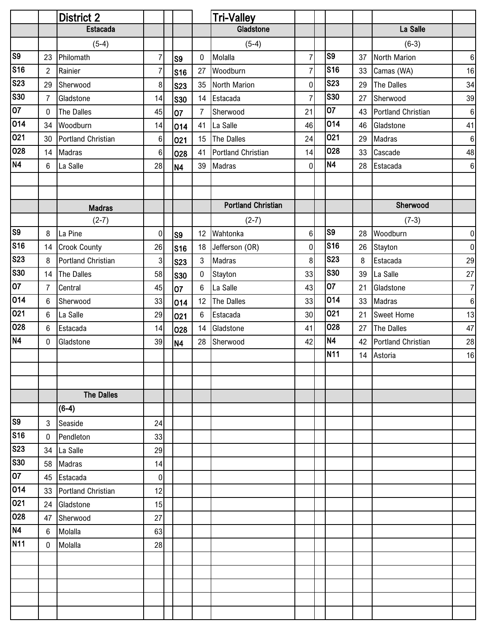|                 |                | <b>District 2</b>         |                  |                |                 | <b>Tri-Valley</b>         |                |                 |    |                           |                  |
|-----------------|----------------|---------------------------|------------------|----------------|-----------------|---------------------------|----------------|-----------------|----|---------------------------|------------------|
|                 |                | <b>Estacada</b>           |                  |                |                 | Gladstone                 |                |                 |    | La Salle                  |                  |
|                 |                | $(5-4)$                   |                  |                |                 | $(5-4)$                   |                |                 |    | $(6-3)$                   |                  |
| S <sub>9</sub>  | 23             | Philomath                 | $\boldsymbol{7}$ | S <sub>9</sub> | $\mathbf 0$     | Molalla                   | $\overline{7}$ | S9              | 37 | North Marion              | $\boldsymbol{6}$ |
| <b>S16</b>      | $\overline{2}$ | Rainier                   | $\overline{7}$   | S16            | 27              | Woodburn                  | $\overline{7}$ | <b>S16</b>      | 33 | Camas (WA)                | 16               |
| <b>S23</b>      | 29             | Sherwood                  | $\bf 8$          | <b>S23</b>     | 35              | <b>North Marion</b>       | $\pmb{0}$      | <b>S23</b>      | 29 | The Dalles                | 34               |
| <b>S30</b>      | $\overline{7}$ | Gladstone                 | 14               | <b>S30</b>     | 14              | Estacada                  | $\overline{7}$ | <b>S30</b>      | 27 | Sherwood                  | 39               |
| $\overline{07}$ | 0              | The Dalles                | 45               | 07             | $\overline{7}$  | Sherwood                  | 21             | 07              | 43 | Portland Christian        | $\boldsymbol{6}$ |
| 014             | 34             | Woodburn                  | 14               | 014            | 41              | La Salle                  | 46             | 014             | 46 | Gladstone                 | 41               |
| 021             | 30             | Portland Christian        | $\,6$            | 021            | 15              | The Dalles                | 24             | 021             | 29 | Madras                    | $\boldsymbol{6}$ |
| 028             | 14             | Madras                    | $\,6\,$          | 028            | 41              | <b>Portland Christian</b> | 14             | 028             | 33 | Cascade                   | 48               |
| N4              | 6              | La Salle                  | 28               | N4             | 39              | Madras                    | $\mathbf 0$    | N4              | 28 | Estacada                  | $\boldsymbol{6}$ |
|                 |                |                           |                  |                |                 |                           |                |                 |    |                           |                  |
|                 |                |                           |                  |                |                 |                           |                |                 |    |                           |                  |
|                 |                | <b>Madras</b>             |                  |                |                 | <b>Portland Christian</b> |                |                 |    | Sherwood                  |                  |
|                 |                | $(2-7)$                   |                  |                |                 | $(2-7)$                   |                |                 |    | $(7-3)$                   |                  |
| S <sub>9</sub>  | 8              | La Pine                   | $\pmb{0}$        | S <sub>9</sub> |                 | 12 Wahtonka               | 6              | S <sub>9</sub>  | 28 | Woodburn                  | $\pmb{0}$        |
| <b>S16</b>      |                | 14 Crook County           | 26               | <b>S16</b>     | 18              | Jefferson (OR)            | $\pmb{0}$      | <b>S16</b>      | 26 | Stayton                   | $\pmb{0}$        |
| <b>S23</b>      | 8              | <b>Portland Christian</b> | 3                | <b>S23</b>     | 3               | Madras                    | 8              | <b>S23</b>      | 8  | Estacada                  | 29               |
| <b>S30</b>      | 14             | The Dalles                | 58               | <b>S30</b>     | $\pmb{0}$       | Stayton                   | 33             | <b>S30</b>      | 39 | La Salle                  | 27               |
| 07              | $\overline{7}$ | Central                   | 45               | 07             | $6\phantom{1}6$ | La Salle                  | 43             | 07              | 21 | Gladstone                 | $\overline{7}$   |
| 014             | 6              | Sherwood                  | 33               | 014            | 12              | The Dalles                | 33             | 014             | 33 | Madras                    | $\boldsymbol{6}$ |
| 021             | 6              | La Salle                  | 29               | 021            | 6               | Estacada                  | 30             | 021             | 21 | <b>Sweet Home</b>         | 13               |
| 028             | 6              | Estacada                  | 14               | 028            | 14              | Gladstone                 | 41             | 028             | 27 | <b>The Dalles</b>         | 47               |
| <b>N4</b>       | $\mathbf 0$    | Gladstone                 | 39               | N <sub>4</sub> | 28              | Sherwood                  | 42             | N4              | 42 | <b>Portland Christian</b> | 28               |
|                 |                |                           |                  |                |                 |                           |                | N <sub>11</sub> | 14 | Astoria                   | 16               |
|                 |                |                           |                  |                |                 |                           |                |                 |    |                           |                  |
|                 |                |                           |                  |                |                 |                           |                |                 |    |                           |                  |
|                 |                | <b>The Dalles</b>         |                  |                |                 |                           |                |                 |    |                           |                  |
|                 |                | $(6-4)$                   |                  |                |                 |                           |                |                 |    |                           |                  |
| S <sub>9</sub>  | 3              | Seaside                   | 24               |                |                 |                           |                |                 |    |                           |                  |
| <b>S16</b>      | 0              | Pendleton                 | 33               |                |                 |                           |                |                 |    |                           |                  |
| <b>S23</b>      | 34             | La Salle                  | 29               |                |                 |                           |                |                 |    |                           |                  |
| <b>S30</b>      | 58             | Madras                    | 14               |                |                 |                           |                |                 |    |                           |                  |
| 07              | 45             | Estacada                  | 0                |                |                 |                           |                |                 |    |                           |                  |
| 014             | 33             | <b>Portland Christian</b> | 12               |                |                 |                           |                |                 |    |                           |                  |
| 021             | 24             | Gladstone                 | 15               |                |                 |                           |                |                 |    |                           |                  |
| 028             | 47             | Sherwood                  | 27               |                |                 |                           |                |                 |    |                           |                  |
| <b>N4</b>       | 6              | Molalla                   | 63               |                |                 |                           |                |                 |    |                           |                  |
| <b>N11</b>      | 0              | Molalla                   | 28               |                |                 |                           |                |                 |    |                           |                  |
|                 |                |                           |                  |                |                 |                           |                |                 |    |                           |                  |
|                 |                |                           |                  |                |                 |                           |                |                 |    |                           |                  |
|                 |                |                           |                  |                |                 |                           |                |                 |    |                           |                  |
|                 |                |                           |                  |                |                 |                           |                |                 |    |                           |                  |
|                 |                |                           |                  |                |                 |                           |                |                 |    |                           |                  |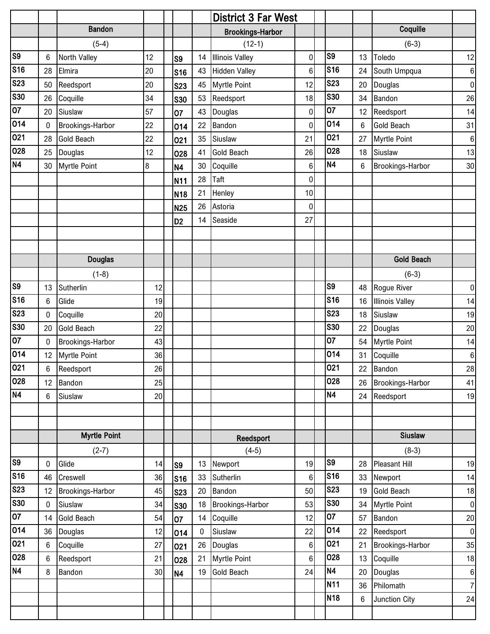|                        |                 |                         |    |                 |             | <b>District 3 Far West</b> |                 |                 |    |                        |                  |
|------------------------|-----------------|-------------------------|----|-----------------|-------------|----------------------------|-----------------|-----------------|----|------------------------|------------------|
|                        |                 | <b>Bandon</b>           |    |                 |             | <b>Brookings-Harbor</b>    |                 |                 |    | Coquille               |                  |
|                        |                 | $(5-4)$                 |    |                 |             | $(12-1)$                   |                 |                 |    | $(6-3)$                |                  |
| $\overline{\text{S}}$  | 6               | North Valley            | 12 | S <sub>9</sub>  | 14          | <b>Illinois Valley</b>     | $\overline{0}$  | S9              | 13 | Toledo                 | 12               |
| <b>S16</b>             | 28              | Elmira                  | 20 | <b>S16</b>      | 43          | <b>Hidden Valley</b>       | $6\phantom{.}$  | <b>S16</b>      | 24 | South Umpqua           | 6                |
| <b>S23</b>             | 50              | Reedsport               | 20 | <b>S23</b>      | 45          | <b>Myrtle Point</b>        | 12              | <b>S23</b>      | 20 | Douglas                | $\pmb{0}$        |
| <b>S30</b>             | 26              | Coquille                | 34 | <b>S30</b>      | 53          | Reedsport                  | 18              | <b>S30</b>      | 34 | Bandon                 | 26               |
| $\overline{07}$        | 20              | Siuslaw                 | 57 | 07              | 43          | Douglas                    | $\overline{0}$  | 07              | 12 | Reedsport              | 14               |
| 014                    | $\mathbf 0$     | Brookings-Harbor        | 22 | 014             | 22          | Bandon                     | $\overline{0}$  | 014             | 6  | <b>Gold Beach</b>      | 31               |
| 021                    | 28              | <b>Gold Beach</b>       | 22 | 021             | 35          | Siuslaw                    | 21              | 021             | 27 | <b>Myrtle Point</b>    | $\,6\,$          |
| 028                    | 25              | Douglas                 | 12 | 028             | 41          | <b>Gold Beach</b>          | 26              | 028             | 18 | Siuslaw                | 13               |
| N <sub>4</sub>         | 30              | <b>Myrtle Point</b>     | 8  | <b>N4</b>       | 30          | Coquille                   | $6\phantom{.}$  | <b>N4</b>       | 6  | Brookings-Harbor       | 30               |
|                        |                 |                         |    | <b>N11</b>      | 28          | Taft                       | $\overline{0}$  |                 |    |                        |                  |
|                        |                 |                         |    | N <sub>18</sub> | 21          | Henley                     | 10 <sup>1</sup> |                 |    |                        |                  |
|                        |                 |                         |    | <b>N25</b>      | 26          | Astoria                    | $\overline{0}$  |                 |    |                        |                  |
|                        |                 |                         |    | D <sub>2</sub>  | 14          | Seaside                    | 27              |                 |    |                        |                  |
|                        |                 |                         |    |                 |             |                            |                 |                 |    |                        |                  |
|                        |                 |                         |    |                 |             |                            |                 |                 |    |                        |                  |
|                        |                 | <b>Douglas</b>          |    |                 |             |                            |                 |                 |    | <b>Gold Beach</b>      |                  |
|                        |                 | $(1-8)$                 |    |                 |             |                            |                 |                 |    | $(6-3)$                |                  |
| $\overline{\text{S9}}$ | 13              | Sutherlin               | 12 |                 |             |                            |                 | S <sub>9</sub>  | 48 | Rogue River            | $\pmb{0}$        |
| S <sub>16</sub>        | 6               | Glide                   | 19 |                 |             |                            |                 | <b>S16</b>      | 16 | <b>Illinois Valley</b> | 14               |
| <b>S23</b>             | $\mathbf 0$     | Coquille                | 20 |                 |             |                            |                 | <b>S23</b>      | 18 | Siuslaw                | 19               |
| <b>S30</b>             | 20              | <b>Gold Beach</b>       | 22 |                 |             |                            |                 | <b>S30</b>      | 22 | Douglas                | 20               |
| 07                     | $\mathbf 0$     | Brookings-Harbor        | 43 |                 |             |                            |                 | 07              | 54 | <b>Myrtle Point</b>    | 14               |
| 014                    | 12 <sup>°</sup> | <b>Myrtle Point</b>     | 36 |                 |             |                            |                 | 014             | 31 | Coquille               | $\,6\,$          |
| 021                    | 6 <sup>1</sup>  | Reedsport               | 26 |                 |             |                            |                 | 021             |    | 22 Bandon              | 28               |
| 028                    | 12              | Bandon                  | 25 |                 |             |                            |                 | 028             | 26 | Brookings-Harbor       | 41               |
| N4                     | $6\phantom{.0}$ | Siuslaw                 | 20 |                 |             |                            |                 | <b>N4</b>       |    | 24 Reedsport           | 19               |
|                        |                 |                         |    |                 |             |                            |                 |                 |    |                        |                  |
|                        |                 |                         |    |                 |             |                            |                 |                 |    |                        |                  |
|                        |                 | <b>Myrtle Point</b>     |    |                 |             | Reedsport                  |                 |                 |    | <b>Siuslaw</b>         |                  |
|                        |                 | $(2-7)$                 |    |                 |             | $(4-5)$                    |                 |                 |    | $(8-3)$                |                  |
| S <sub>9</sub>         | $\mathbf 0$     | Glide                   | 14 | S <sub>9</sub>  | 13          | Newport                    | 19              | S <sub>9</sub>  | 28 | Pleasant Hill          | 19               |
| <b>S16</b>             | 46              | Creswell                | 36 | <b>S16</b>      | 33          | Sutherlin                  | 6 <sup>1</sup>  | <b>S16</b>      | 33 | Newport                | 14               |
| <b>S23</b>             | 12              | <b>Brookings-Harbor</b> | 45 | <b>S23</b>      | 20          | Bandon                     | 50              | <b>S23</b>      | 19 | <b>Gold Beach</b>      | 18               |
| <b>S30</b>             | $\mathbf 0$     | Siuslaw                 | 34 | <b>S30</b>      | 18          | Brookings-Harbor           | 53              | <b>S30</b>      | 34 | <b>Myrtle Point</b>    | $\boldsymbol{0}$ |
| 07                     | 14              | <b>Gold Beach</b>       | 54 | 07              | 14          | Coquille                   | 12              | 07              | 57 | Bandon                 | 20               |
| 014                    | 36              | Douglas                 | 12 | 014             | $\mathbf 0$ | Siuslaw                    | 22              | 014             | 22 | Reedsport              | $\pmb{0}$        |
| 021                    | 6               | Coquille                | 27 | 021             | 26          | Douglas                    | 6 <sup>1</sup>  | 021             | 21 | Brookings-Harbor       | 35               |
| 028                    | 6               | Reedsport               | 21 | 028             | 21          | <b>Myrtle Point</b>        | 6 <sup>1</sup>  | 028             | 13 | Coquille               | 18               |
| N4                     | 8               | Bandon                  | 30 | <b>N4</b>       | 19          | <b>Gold Beach</b>          | 24              | <b>N4</b>       | 20 | Douglas                | $\,6\,$          |
|                        |                 |                         |    |                 |             |                            |                 | <b>N11</b>      | 36 | Philomath              | $\overline{7}$   |
|                        |                 |                         |    |                 |             |                            |                 | N <sub>18</sub> | 6  | Junction City          | 24               |
|                        |                 |                         |    |                 |             |                            |                 |                 |    |                        |                  |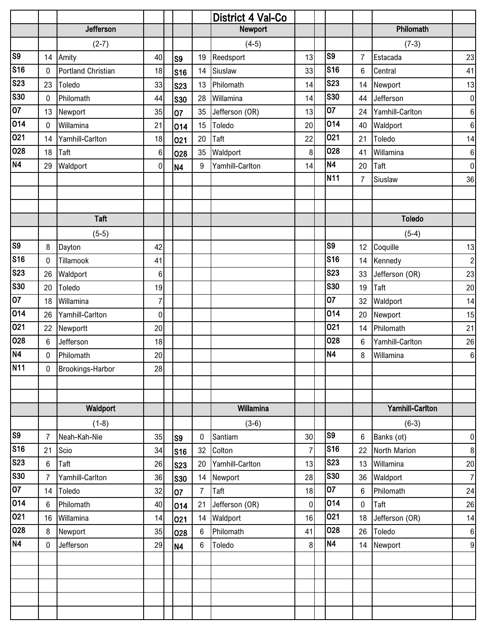|                       |                |                           |                |                |                | District 4 Val-Co |                  |                |                 |                        |                  |
|-----------------------|----------------|---------------------------|----------------|----------------|----------------|-------------------|------------------|----------------|-----------------|------------------------|------------------|
|                       |                | Jefferson                 |                |                |                | Newport           |                  |                |                 | Philomath              |                  |
|                       |                | $(2-7)$                   |                |                |                | $(4-5)$           |                  |                |                 | $(7-3)$                |                  |
| $\overline{\text{S}}$ |                | 14 Amity                  | 40             | S <sub>9</sub> | 19             | Reedsport         | 13               | S9             | $\overline{7}$  | Estacada               | 23               |
| <b>S16</b>            | $\mathbf 0$    | <b>Portland Christian</b> | 18             | S16            | 14             | Siuslaw           | 33               | <b>S16</b>     | 6               | Central                | 41               |
| <b>S23</b>            | 23             | Toledo                    | 33             | <b>S23</b>     | 13             | Philomath         | 14               | <b>S23</b>     | 14              | Newport                | 13               |
| <b>S30</b>            | $\mathbf 0$    | Philomath                 | 44             | <b>S30</b>     | 28             | Willamina         | 14               | <b>S30</b>     | 44              | Jefferson              | $\pmb{0}$        |
| $\overline{07}$       | 13             | Newport                   | 35             | 07             | 35             | Jefferson (OR)    | 13               | 07             | 24              | Yamhill-Carlton        | $\,6$            |
| 014                   | $\mathbf 0$    | Willamina                 | 21             | 014            | 15             | Toledo            | 20               | 014            | 40              | Waldport               | $\,6\,$          |
| 021                   | 14             | Yamhill-Carlton           | 18             | 021            | 20             | Taft              | 22               | 021            | 21              | Toledo                 | 14               |
| 028                   | 18             | Taft                      | 6              | 028            | 35             | Waldport          | $\boldsymbol{8}$ | 028            | 41              | Willamina              | $\,6\,$          |
| <b>N4</b>             | 29             | Waldport                  | $\overline{0}$ | N <sub>4</sub> | 9              | Yamhill-Carlton   | 14               | <b>N4</b>      | 20              | Taft                   | $\pmb{0}$        |
|                       |                |                           |                |                |                |                   |                  | <b>N11</b>     | $\overline{7}$  | Siuslaw                | 36               |
|                       |                |                           |                |                |                |                   |                  |                |                 |                        |                  |
|                       |                |                           |                |                |                |                   |                  |                |                 |                        |                  |
|                       |                | <b>Taft</b>               |                |                |                |                   |                  |                |                 | <b>Toledo</b>          |                  |
|                       |                | $(5-5)$                   |                |                |                |                   |                  |                |                 | $(5-4)$                |                  |
| S <sub>9</sub>        | 8              | Dayton                    | 42             |                |                |                   |                  | S9             | 12 <sup>°</sup> | Coquille               | 13               |
| S16                   | $\mathbf 0$    | Tillamook                 | 41             |                |                |                   |                  | <b>S16</b>     | 14              | Kennedy                | $\overline{2}$   |
| <b>S23</b>            | 26             | Waldport                  | 6              |                |                |                   |                  | <b>S23</b>     | 33              | Jefferson (OR)         | 23               |
| <b>S30</b>            | 20             | Toledo                    | 19             |                |                |                   |                  | <b>S30</b>     | 19              | Taft                   | 20               |
| $\overline{07}$       | 18             | Willamina                 | $\overline{7}$ |                |                |                   |                  | 07             | 32              | Waldport               | 14               |
| 014                   | 26             | Yamhill-Carlton           | $\overline{0}$ |                |                |                   |                  | 014            | 20              | Newport                | 15               |
| 021                   | 22             | Newportt                  | 20             |                |                |                   |                  | 021            | 14              | Philomath              | 21               |
| 028                   | 6              | Jefferson                 | 18             |                |                |                   |                  | 028            | 6               | Yamhill-Carlton        | 26               |
| N4                    | $\mathbf 0$    | Philomath                 | 20             |                |                |                   |                  | <b>N4</b>      | $\,8\,$         | Willamina              | $\,6\,$          |
| <b>N11</b>            | 0              | Brookings-Harbor          | 28             |                |                |                   |                  |                |                 |                        |                  |
|                       |                |                           |                |                |                |                   |                  |                |                 |                        |                  |
|                       |                |                           |                |                |                |                   |                  |                |                 |                        |                  |
|                       |                | Waldport                  |                |                |                | Willamina         |                  |                |                 | <b>Yamhill-Carlton</b> |                  |
|                       |                | $(1-8)$                   |                |                |                | $(3-6)$           |                  |                |                 | $(6-3)$                |                  |
| $\overline{\text{S}}$ | $\overline{7}$ | Neah-Kah-Nie              | 35             | S <sub>9</sub> | 0              | Santiam           | 30 <sup>1</sup>  | S <sub>9</sub> | $\,6\,$         | Banks (ot)             | $\pmb{0}$        |
| <b>S16</b>            | 21             | Scio                      | 34             | <b>S16</b>     | 32             | Colton            | $\overline{7}$   | <b>S16</b>     | 22              | North Marion           | $\,8\,$          |
| <b>S23</b>            | 6              | Taft                      | 26             | <b>S23</b>     | 20             | Yamhill-Carlton   | 13               | <b>S23</b>     | 13              | Willamina              | 20               |
| <b>S30</b>            | $\overline{7}$ | Yamhill-Carlton           | 36             | <b>S30</b>     | 14             | Newport           | 28               | <b>S30</b>     | 36              | Waldport               | $\boldsymbol{7}$ |
| $\overline{07}$       | 14             | Toledo                    | 32             | 07             | $\overline{7}$ | Taft              | 18               | 07             | $6\phantom{1}6$ | Philomath              | 24               |
| 014                   | 6              | Philomath                 | 40             | 014            | 21             | Jefferson (OR)    | $\overline{0}$   | 014            | $\pmb{0}$       | Taft                   | 26               |
| 021                   | 16             | Willamina                 | 14             | 021            | 14             | Waldport          | 16               | 021            | 18              | Jefferson (OR)         | 14               |
| 028                   | 8              | Newport                   | 35             | 028            | 6              | Philomath         | 41               | 028            | 26              | Toledo                 | $\,6\,$          |
| <b>N4</b>             | $\mathbf 0$    | Jefferson                 | 29             | <b>N4</b>      | 6              | Toledo            | $\mathbf{8}$     | N <sub>4</sub> | 14              | Newport                | $\boldsymbol{9}$ |
|                       |                |                           |                |                |                |                   |                  |                |                 |                        |                  |
|                       |                |                           |                |                |                |                   |                  |                |                 |                        |                  |
|                       |                |                           |                |                |                |                   |                  |                |                 |                        |                  |
|                       |                |                           |                |                |                |                   |                  |                |                 |                        |                  |
|                       |                |                           |                |                |                |                   |                  |                |                 |                        |                  |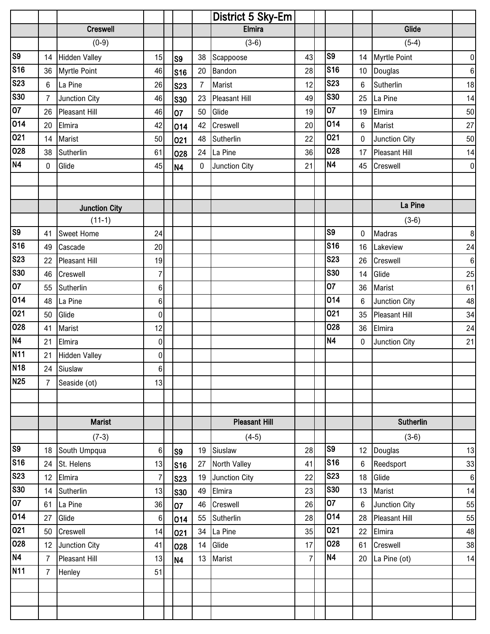|                       |                |                      |                |                |                | District 5 Sky-Em    |                |                 |                 |                      |           |
|-----------------------|----------------|----------------------|----------------|----------------|----------------|----------------------|----------------|-----------------|-----------------|----------------------|-----------|
|                       |                | <b>Creswell</b>      |                |                |                | <b>Elmira</b>        |                |                 |                 | Glide                |           |
|                       |                | $(0-9)$              |                |                |                | $(3-6)$              |                |                 |                 | $(5-4)$              |           |
| $\overline{\text{S}}$ |                | 14 Hidden Valley     | 15             | S <sub>9</sub> | 38             | Scappoose            | 43             | S <sub>9</sub>  | 14              | <b>Myrtle Point</b>  | $\pmb{0}$ |
| <b>S16</b>            | 36             | Myrtle Point         | 46             | <b>S16</b>     | $20\,$         | Bandon               | 28             | <b>S16</b>      | 10              | Douglas              | $\,6\,$   |
| <b>S23</b>            | 6 <sup>1</sup> | La Pine              | 26             | <b>S23</b>     | $\overline{7}$ | Marist               | 12             | <b>S23</b>      | $6\phantom{1}6$ | Sutherlin            | 18        |
| S30                   | $\overline{7}$ | <b>Junction City</b> | 46             | <b>S30</b>     | 23             | <b>Pleasant Hill</b> | 49             | <b>S30</b>      | 25              | La Pine              | 14        |
| $\overline{07}$       | 26             | Pleasant Hill        | 46             | 07             | 50             | Glide                | 19             | $\overline{07}$ | 19              | Elmira               | 50        |
| 014                   | 20             | Elmira               | 42             | 014            | 42             | Creswell             | 20             | 014             | $\,6\,$         | Marist               | 27        |
| 021                   | 14             | Marist               | 50             | 021            | 48             | Sutherlin            | 22             | 021             | $\pmb{0}$       | Junction City        | 50        |
| 028                   | 38             | Sutherlin            | 61             | 028            |                | 24 La Pine           | 36             | 028             | 17              | <b>Pleasant Hill</b> | 14        |
| N4                    | $\mathbf 0$    | Glide                | 45             | N <sub>4</sub> | 0              | Junction City        | 21             | <b>N4</b>       | 45              | Creswell             | $\pmb{0}$ |
|                       |                |                      |                |                |                |                      |                |                 |                 |                      |           |
|                       |                |                      |                |                |                |                      |                |                 |                 |                      |           |
|                       |                | <b>Junction City</b> |                |                |                |                      |                |                 |                 | La Pine              |           |
|                       |                | $(11-1)$             |                |                |                |                      |                |                 |                 | $(3-6)$              |           |
| S <sub>9</sub>        | 41             | <b>Sweet Home</b>    | 24             |                |                |                      |                | S <sub>9</sub>  | 0               | <b>Madras</b>        | $\bf 8$   |
| <b>S16</b>            | 49             | Cascade              | 20             |                |                |                      |                | <b>S16</b>      | 16              | Lakeview             | 24        |
| <b>S23</b>            | 22             | <b>Pleasant Hill</b> | 19             |                |                |                      |                | <b>S23</b>      | 26              | Creswell             | $\,6\,$   |
| <b>S30</b>            | 46             | Creswell             | $\overline{7}$ |                |                |                      |                | <b>S30</b>      | 14              | Glide                | 25        |
| $\overline{07}$       | 55             | Sutherlin            | 6              |                |                |                      |                | 07              | 36              | Marist               | 61        |
| 014                   | 48             | La Pine              | 6              |                |                |                      |                | 014             | 6               | Junction City        | 48        |
| 021                   | 50             | Glide                | $\overline{0}$ |                |                |                      |                | 021             | 35              | <b>Pleasant Hill</b> | 34        |
| 028                   | 41             | Marist               | 12             |                |                |                      |                | 028             | 36              | Elmira               | 24        |
| N4                    | 21             | Elmira               | $\overline{0}$ |                |                |                      |                | <b>N4</b>       | $\mathbf 0$     | Junction City        | 21        |
| <b>N11</b>            | 21             | <b>Hidden Valley</b> | $\overline{0}$ |                |                |                      |                |                 |                 |                      |           |
| N <sub>18</sub>       | 24             | Siuslaw              | 6              |                |                |                      |                |                 |                 |                      |           |
| <b>N25</b>            | $\overline{7}$ | Seaside (ot)         | 13             |                |                |                      |                |                 |                 |                      |           |
|                       |                |                      |                |                |                |                      |                |                 |                 |                      |           |
|                       |                |                      |                |                |                |                      |                |                 |                 |                      |           |
|                       |                | <b>Marist</b>        |                |                |                | <b>Pleasant Hill</b> |                |                 |                 | <b>Sutherlin</b>     |           |
|                       |                | $(7-3)$              |                |                |                | $(4-5)$              |                |                 |                 | $(3-6)$              |           |
| S <sub>9</sub>        | 18             | South Umpqua         | $6 \mid$       | S <sub>9</sub> | 19             | Siuslaw              | 28             | S <sub>9</sub>  | 12              | Douglas              | 13        |
| <b>S16</b>            |                | 24 St. Helens        | 13             | <b>S16</b>     | 27             | North Valley         | 41             | <b>S16</b>      | 6               | Reedsport            | 33        |
| <b>S23</b>            |                | 12 Elmira            | $\overline{7}$ | <b>S23</b>     | 19             | Junction City        | 22             | <b>S23</b>      | 18              | Glide                | $\,6\,$   |
| <b>S30</b>            |                | 14 Sutherlin         | 13             | <b>S30</b>     | 49             | Elmira               | 23             | <b>S30</b>      | 13              | Marist               | 14        |
| $\overline{07}$       | 61             | La Pine              | 36             | 07             | 46             | Creswell             | 26             | 07              | $6\phantom{1}6$ | Junction City        | 55        |
| 014                   | 27             | Glide                | $6 \mid$       | 014            | 55             | Sutherlin            | 28             | 014             | 28              | <b>Pleasant Hill</b> | 55        |
| 021                   | 50             | Creswell             | 14             | 021            | 34             | La Pine              | 35             | 021             | 22              | Elmira               | 48        |
| 028                   |                | 12 Junction City     | 41             | 028            | 14             | Glide                | 17             | 028             | 61              | Creswell             | 38        |
| N4                    | $\overline{7}$ | <b>Pleasant Hill</b> | 13             | <b>N4</b>      | 13             | Marist               | $\overline{7}$ | <b>N4</b>       | 20              | La Pine (ot)         | 14        |
| <b>N11</b>            | $\overline{7}$ | Henley               | 51             |                |                |                      |                |                 |                 |                      |           |
|                       |                |                      |                |                |                |                      |                |                 |                 |                      |           |
|                       |                |                      |                |                |                |                      |                |                 |                 |                      |           |
|                       |                |                      |                |                |                |                      |                |                 |                 |                      |           |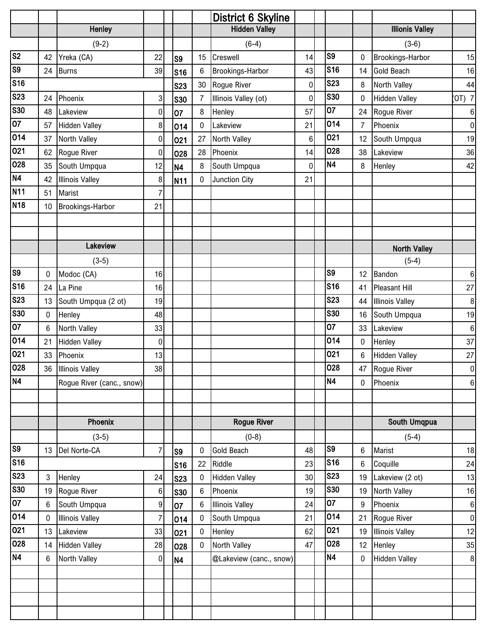|                         |              |                           |                |                |                | <b>District 6 Skyline</b> |                 |                |                  |                        |                  |
|-------------------------|--------------|---------------------------|----------------|----------------|----------------|---------------------------|-----------------|----------------|------------------|------------------------|------------------|
|                         |              | <b>Henley</b>             |                |                |                | <b>Hidden Valley</b>      |                 |                |                  | <b>Illionis Valley</b> |                  |
|                         |              | $(9-2)$                   |                |                |                | $(6-4)$                   |                 |                |                  | $(3-6)$                |                  |
| $\overline{\text{S2}}$  | 42           | Yreka (CA)                | 22             | S <sub>9</sub> | 15             | Creswell                  | 14              | S <sub>9</sub> | 0                | Brookings-Harbor       | 15               |
| $\overline{\text{S9}}$  | 24           | Burns                     | 39             | <b>S16</b>     | 6              | Brookings-Harbor          | 43              | <b>S16</b>     | 14               | Gold Beach             | 16               |
| S <sub>16</sub>         |              |                           |                | <b>S23</b>     | 30             | Rogue River               | $\overline{0}$  | <b>S23</b>     | 8                | North Valley           | 44               |
| <b>S23</b>              | 24           | Phoenix                   | 3              | <b>S30</b>     | $\overline{7}$ | Illinois Valley (ot)      | $\mathbf 0$     | <b>S30</b>     | 0                | <b>Hidden Valley</b>   | $(OT)$ 7         |
| <b>S30</b>              | 48           | Lakeview                  | 0              | 07             | 8              | Henley                    | 57              | 07             | 24               | Rogue River            | $\boldsymbol{6}$ |
| 07                      | 57           | <b>Hidden Valley</b>      | $\bf 8$        | 014            | $\pmb{0}$      | Lakeview                  | 21              | 014            | $\overline{7}$   | Phoenix                | $\pmb{0}$        |
| 014                     | 37           | North Valley              | $\mathbf 0$    | 021            | 27             | North Valley              | $6\phantom{.}$  | 021            | 12               | South Umpqua           | 19               |
| 021                     | 62           | Rogue River               | $\mathbf 0$    | 028            | 28             | Phoenix                   | 14              | 028            | 38               | Lakeview               | 36               |
| 028                     | 35           | South Umpqua              | 12             | <b>N4</b>      | 8              | South Umpqua              | $\mathbf 0$     | <b>N4</b>      | 8                | Henley                 | 42               |
| N4                      | 42           | <b>Illinois Valley</b>    | 8              | <b>N11</b>     | $\mathbf 0$    | Junction City             | 21              |                |                  |                        |                  |
| <b>N11</b>              | 51           | Marist                    | $\overline{7}$ |                |                |                           |                 |                |                  |                        |                  |
| <b>N18</b>              | 10           | <b>Brookings-Harbor</b>   | 21             |                |                |                           |                 |                |                  |                        |                  |
|                         |              |                           |                |                |                |                           |                 |                |                  |                        |                  |
|                         |              |                           |                |                |                |                           |                 |                |                  |                        |                  |
|                         |              | Lakeview                  |                |                |                |                           |                 |                |                  | <b>North Valley</b>    |                  |
|                         |              | $(3-5)$                   |                |                |                |                           |                 |                |                  | $(5-4)$                |                  |
| S <sub>9</sub>          | 0            | Modoc (CA)                | 16             |                |                |                           |                 | S <sub>9</sub> | 12               | Bandon                 | $\boldsymbol{6}$ |
| <b>S16</b>              | 24           | La Pine                   | 16             |                |                |                           |                 | <b>S16</b>     | 41               | <b>Pleasant Hill</b>   | $27\,$           |
| S <sub>23</sub>         | 13           | South Umpqua (2 ot)       | 19             |                |                |                           |                 | <b>S23</b>     | 44               | <b>Illinois Valley</b> | $\bf 8$          |
| $\overline{\text{S}}30$ | 0            | Henley                    | 48             |                |                |                           |                 | <b>S30</b>     | 16               | South Umpqua           | 19               |
| 07                      | 6            | North Valley              | 33             |                |                |                           |                 | 07             | 33               | Lakeview               | $\boldsymbol{6}$ |
| 014                     | 21           | <b>Hidden Valley</b>      | 0              |                |                |                           |                 | 014            | $\boldsymbol{0}$ | Henley                 | 37               |
| 021                     | 33           | Phoenix                   | 13             |                |                |                           |                 | 021            | $6\phantom{1}6$  | <b>Hidden Valley</b>   | 27               |
| 028                     | 36           | <b>Illinois Valley</b>    | 38             |                |                |                           |                 | 028            |                  | 47 Rogue River         | $\pmb{0}$        |
| N <sub>4</sub>          |              | Rogue River (canc., snow) |                |                |                |                           |                 | <b>N4</b>      | 0                | Phoenix                | $\boldsymbol{6}$ |
|                         |              |                           |                |                |                |                           |                 |                |                  |                        |                  |
|                         |              |                           |                |                |                |                           |                 |                |                  |                        |                  |
|                         |              | Phoenix                   |                |                |                | <b>Rogue River</b>        |                 |                |                  | South Umqpua           |                  |
|                         |              | $(3-5)$                   |                |                |                | $(0-8)$                   |                 |                |                  | $(5-4)$                |                  |
| S <sub>9</sub>          | 13           | Del Norte-CA              | $\overline{7}$ | S <sub>9</sub> | 0              | <b>Gold Beach</b>         | 48              | S9             | 6                | Marist                 | 18               |
| $\sqrt{\sqrt{S}}$ 16    |              |                           |                | <b>S16</b>     | 22             | Riddle                    | 23              | <b>S16</b>     | $6\phantom{1}6$  | Coquille               | 24               |
| <b>S23</b>              | $\mathbf{3}$ | Henley                    | 24             | <b>S23</b>     | 0              | <b>Hidden Valley</b>      | 30 <sup>1</sup> | <b>S23</b>     | 19               | Lakeview (2 ot)        | 13               |
| <b>S30</b>              | 19           | Rogue River               | 6              | <b>S30</b>     | 6              | Phoenix                   | 19              | <b>S30</b>     | 19               | North Valley           | 16               |
| 07                      | 6            | South Umpqua              | 9              | 07             | 6              | <b>Illinois Valley</b>    | 24              | 07             | 9                | Phoenix                | $\boldsymbol{6}$ |
| 014                     | $\mathbf 0$  | <b>Illinois Valley</b>    | $\overline{7}$ | 014            | $\bf{0}$       | South Umpqua              | 21              | 014            | 21               | Rogue River            | $\pmb{0}$        |
| 021                     | 13           | Lakeview                  | 33             | 021            | $\mathbf 0$    | Henley                    | 62              | 021            | 19               | <b>Illinois Valley</b> | 12               |
| 028                     | 14           | <b>Hidden Valley</b>      | 28             | 028            | $\mathbf 0$    | North Valley              | 47              | 028            | 12               | Henley                 | 35               |
| N <sub>4</sub>          | 6            | North Valley              | $\overline{0}$ | <b>N4</b>      |                | @Lakeview (canc., snow)   |                 | <b>N4</b>      | $\mathbf{0}$     | <b>Hidden Valley</b>   | $\, 8$           |
|                         |              |                           |                |                |                |                           |                 |                |                  |                        |                  |
|                         |              |                           |                |                |                |                           |                 |                |                  |                        |                  |
|                         |              |                           |                |                |                |                           |                 |                |                  |                        |                  |
|                         |              |                           |                |                |                |                           |                 |                |                  |                        |                  |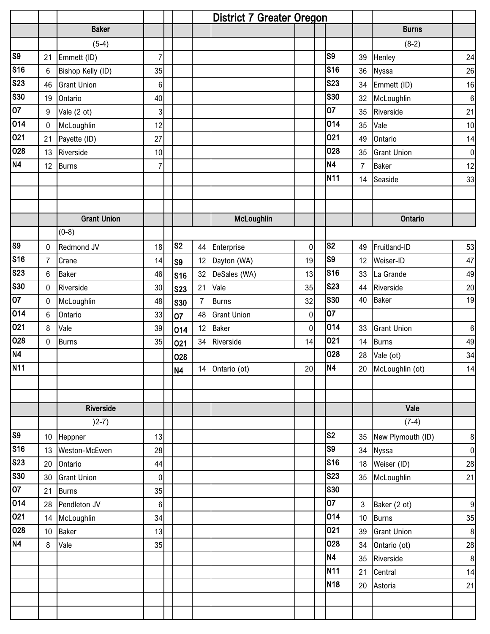| <b>Baker</b><br><b>Burns</b><br>$(5-4)$<br>$(8-2)$<br>$\overline{\text{S}}$<br>S9<br>$\overline{7}$<br>Emmett (ID)<br>Henley<br>21<br>39<br><b>S16</b><br><b>S16</b><br>Bishop Kelly (ID)<br>Nyssa<br>$6\phantom{.0}$<br>35<br>36<br><b>S23</b><br><b>S23</b><br>46<br><b>Grant Union</b><br>34<br>Emmett (ID)<br>6<br>S30<br><b>S30</b><br>Ontario<br>40<br>32<br>McLoughlin<br>19<br>$\overline{07}$<br>07<br>$\overline{3}$<br>Riverside<br>Vale (2 ot)<br>9<br>35<br>014<br>014<br>McLoughlin<br>Vale<br>12<br>$\mathbf 0$<br>35<br>021<br>021<br>Payette (ID)<br>27<br>Ontario<br>21<br>49<br>028<br>028<br>Riverside<br><b>Grant Union</b><br>13<br>10<br>35<br>N <sub>4</sub><br><b>N4</b><br>$\overline{7}$<br>$\overline{7}$<br><b>Baker</b><br>12<br><b>Burns</b><br><b>N11</b><br>Seaside<br>14<br><b>Grant Union</b><br>McLoughlin<br><b>Ontario</b><br>$(0-8)$<br>S <sub>9</sub><br>S <sub>2</sub><br>S <sub>2</sub><br>Redmond JV<br>Enterprise<br>18<br>44<br>$\overline{0}$<br>Fruitland-ID<br>$\mathbf 0$<br>49<br><b>S16</b><br>$\overline{\text{S}}9$<br>$\overline{7}$<br>12<br>Dayton (WA)<br>19<br>Weiser-ID<br>Crane<br>14<br>12<br>S <sub>9</sub><br><b>S23</b><br><b>S16</b><br>32<br>DeSales (WA)<br>13<br>6<br><b>Baker</b><br>46<br>33<br>La Grande<br><b>S16</b><br><b>S30</b><br><b>S23</b><br>Vale<br>Riverside<br>30<br>21<br>35<br>Riverside<br>44<br>$\mathbf 0$<br><b>S23</b><br>$\overline{07}$<br><b>S30</b><br><b>Baker</b><br>40<br><b>Burns</b><br>32<br>McLoughlin<br>48<br>$\mathbf 0$<br>7<br><b>S30</b><br>014<br>07<br>33<br><b>Grant Union</b><br>$\overline{0}$<br>6<br>Ontario<br>48<br>07<br>021<br>014<br>Vale<br>$\overline{0}$<br>8<br>39<br>12<br><b>Baker</b><br><b>Grant Union</b><br>33<br>014<br>028<br>021<br>35<br>34 Riverside<br><b>Burns</b><br>$\mathbf 0$<br><b>Burns</b><br>14<br>14<br>021<br><b>N4</b><br>028<br>Vale (ot)<br>28<br>028<br><b>N11</b><br>N <sub>4</sub><br>14 Ontario (ot)<br>20 McLoughlin (ot)<br>20<br>N4 | 24<br>26<br>16<br>$\,6\,$<br>21<br>10<br>14<br>$\pmb{0}$<br>12<br>33 |
|-------------------------------------------------------------------------------------------------------------------------------------------------------------------------------------------------------------------------------------------------------------------------------------------------------------------------------------------------------------------------------------------------------------------------------------------------------------------------------------------------------------------------------------------------------------------------------------------------------------------------------------------------------------------------------------------------------------------------------------------------------------------------------------------------------------------------------------------------------------------------------------------------------------------------------------------------------------------------------------------------------------------------------------------------------------------------------------------------------------------------------------------------------------------------------------------------------------------------------------------------------------------------------------------------------------------------------------------------------------------------------------------------------------------------------------------------------------------------------------------------------------------------------------------------------------------------------------------------------------------------------------------------------------------------------------------------------------------------------------------------------------------------------------------------------------------------------------------------------------------------------------------------------------------------------------------------------------------------------------------------|----------------------------------------------------------------------|
|                                                                                                                                                                                                                                                                                                                                                                                                                                                                                                                                                                                                                                                                                                                                                                                                                                                                                                                                                                                                                                                                                                                                                                                                                                                                                                                                                                                                                                                                                                                                                                                                                                                                                                                                                                                                                                                                                                                                                                                                 |                                                                      |
|                                                                                                                                                                                                                                                                                                                                                                                                                                                                                                                                                                                                                                                                                                                                                                                                                                                                                                                                                                                                                                                                                                                                                                                                                                                                                                                                                                                                                                                                                                                                                                                                                                                                                                                                                                                                                                                                                                                                                                                                 |                                                                      |
|                                                                                                                                                                                                                                                                                                                                                                                                                                                                                                                                                                                                                                                                                                                                                                                                                                                                                                                                                                                                                                                                                                                                                                                                                                                                                                                                                                                                                                                                                                                                                                                                                                                                                                                                                                                                                                                                                                                                                                                                 |                                                                      |
|                                                                                                                                                                                                                                                                                                                                                                                                                                                                                                                                                                                                                                                                                                                                                                                                                                                                                                                                                                                                                                                                                                                                                                                                                                                                                                                                                                                                                                                                                                                                                                                                                                                                                                                                                                                                                                                                                                                                                                                                 |                                                                      |
|                                                                                                                                                                                                                                                                                                                                                                                                                                                                                                                                                                                                                                                                                                                                                                                                                                                                                                                                                                                                                                                                                                                                                                                                                                                                                                                                                                                                                                                                                                                                                                                                                                                                                                                                                                                                                                                                                                                                                                                                 |                                                                      |
|                                                                                                                                                                                                                                                                                                                                                                                                                                                                                                                                                                                                                                                                                                                                                                                                                                                                                                                                                                                                                                                                                                                                                                                                                                                                                                                                                                                                                                                                                                                                                                                                                                                                                                                                                                                                                                                                                                                                                                                                 |                                                                      |
|                                                                                                                                                                                                                                                                                                                                                                                                                                                                                                                                                                                                                                                                                                                                                                                                                                                                                                                                                                                                                                                                                                                                                                                                                                                                                                                                                                                                                                                                                                                                                                                                                                                                                                                                                                                                                                                                                                                                                                                                 |                                                                      |
|                                                                                                                                                                                                                                                                                                                                                                                                                                                                                                                                                                                                                                                                                                                                                                                                                                                                                                                                                                                                                                                                                                                                                                                                                                                                                                                                                                                                                                                                                                                                                                                                                                                                                                                                                                                                                                                                                                                                                                                                 |                                                                      |
|                                                                                                                                                                                                                                                                                                                                                                                                                                                                                                                                                                                                                                                                                                                                                                                                                                                                                                                                                                                                                                                                                                                                                                                                                                                                                                                                                                                                                                                                                                                                                                                                                                                                                                                                                                                                                                                                                                                                                                                                 |                                                                      |
|                                                                                                                                                                                                                                                                                                                                                                                                                                                                                                                                                                                                                                                                                                                                                                                                                                                                                                                                                                                                                                                                                                                                                                                                                                                                                                                                                                                                                                                                                                                                                                                                                                                                                                                                                                                                                                                                                                                                                                                                 |                                                                      |
|                                                                                                                                                                                                                                                                                                                                                                                                                                                                                                                                                                                                                                                                                                                                                                                                                                                                                                                                                                                                                                                                                                                                                                                                                                                                                                                                                                                                                                                                                                                                                                                                                                                                                                                                                                                                                                                                                                                                                                                                 |                                                                      |
|                                                                                                                                                                                                                                                                                                                                                                                                                                                                                                                                                                                                                                                                                                                                                                                                                                                                                                                                                                                                                                                                                                                                                                                                                                                                                                                                                                                                                                                                                                                                                                                                                                                                                                                                                                                                                                                                                                                                                                                                 |                                                                      |
|                                                                                                                                                                                                                                                                                                                                                                                                                                                                                                                                                                                                                                                                                                                                                                                                                                                                                                                                                                                                                                                                                                                                                                                                                                                                                                                                                                                                                                                                                                                                                                                                                                                                                                                                                                                                                                                                                                                                                                                                 |                                                                      |
|                                                                                                                                                                                                                                                                                                                                                                                                                                                                                                                                                                                                                                                                                                                                                                                                                                                                                                                                                                                                                                                                                                                                                                                                                                                                                                                                                                                                                                                                                                                                                                                                                                                                                                                                                                                                                                                                                                                                                                                                 |                                                                      |
|                                                                                                                                                                                                                                                                                                                                                                                                                                                                                                                                                                                                                                                                                                                                                                                                                                                                                                                                                                                                                                                                                                                                                                                                                                                                                                                                                                                                                                                                                                                                                                                                                                                                                                                                                                                                                                                                                                                                                                                                 |                                                                      |
|                                                                                                                                                                                                                                                                                                                                                                                                                                                                                                                                                                                                                                                                                                                                                                                                                                                                                                                                                                                                                                                                                                                                                                                                                                                                                                                                                                                                                                                                                                                                                                                                                                                                                                                                                                                                                                                                                                                                                                                                 |                                                                      |
|                                                                                                                                                                                                                                                                                                                                                                                                                                                                                                                                                                                                                                                                                                                                                                                                                                                                                                                                                                                                                                                                                                                                                                                                                                                                                                                                                                                                                                                                                                                                                                                                                                                                                                                                                                                                                                                                                                                                                                                                 | 53                                                                   |
|                                                                                                                                                                                                                                                                                                                                                                                                                                                                                                                                                                                                                                                                                                                                                                                                                                                                                                                                                                                                                                                                                                                                                                                                                                                                                                                                                                                                                                                                                                                                                                                                                                                                                                                                                                                                                                                                                                                                                                                                 | 47                                                                   |
|                                                                                                                                                                                                                                                                                                                                                                                                                                                                                                                                                                                                                                                                                                                                                                                                                                                                                                                                                                                                                                                                                                                                                                                                                                                                                                                                                                                                                                                                                                                                                                                                                                                                                                                                                                                                                                                                                                                                                                                                 | 49                                                                   |
|                                                                                                                                                                                                                                                                                                                                                                                                                                                                                                                                                                                                                                                                                                                                                                                                                                                                                                                                                                                                                                                                                                                                                                                                                                                                                                                                                                                                                                                                                                                                                                                                                                                                                                                                                                                                                                                                                                                                                                                                 | 20                                                                   |
|                                                                                                                                                                                                                                                                                                                                                                                                                                                                                                                                                                                                                                                                                                                                                                                                                                                                                                                                                                                                                                                                                                                                                                                                                                                                                                                                                                                                                                                                                                                                                                                                                                                                                                                                                                                                                                                                                                                                                                                                 | 19                                                                   |
|                                                                                                                                                                                                                                                                                                                                                                                                                                                                                                                                                                                                                                                                                                                                                                                                                                                                                                                                                                                                                                                                                                                                                                                                                                                                                                                                                                                                                                                                                                                                                                                                                                                                                                                                                                                                                                                                                                                                                                                                 |                                                                      |
|                                                                                                                                                                                                                                                                                                                                                                                                                                                                                                                                                                                                                                                                                                                                                                                                                                                                                                                                                                                                                                                                                                                                                                                                                                                                                                                                                                                                                                                                                                                                                                                                                                                                                                                                                                                                                                                                                                                                                                                                 | $\,6$                                                                |
|                                                                                                                                                                                                                                                                                                                                                                                                                                                                                                                                                                                                                                                                                                                                                                                                                                                                                                                                                                                                                                                                                                                                                                                                                                                                                                                                                                                                                                                                                                                                                                                                                                                                                                                                                                                                                                                                                                                                                                                                 | 49                                                                   |
|                                                                                                                                                                                                                                                                                                                                                                                                                                                                                                                                                                                                                                                                                                                                                                                                                                                                                                                                                                                                                                                                                                                                                                                                                                                                                                                                                                                                                                                                                                                                                                                                                                                                                                                                                                                                                                                                                                                                                                                                 | 34                                                                   |
|                                                                                                                                                                                                                                                                                                                                                                                                                                                                                                                                                                                                                                                                                                                                                                                                                                                                                                                                                                                                                                                                                                                                                                                                                                                                                                                                                                                                                                                                                                                                                                                                                                                                                                                                                                                                                                                                                                                                                                                                 | 14                                                                   |
|                                                                                                                                                                                                                                                                                                                                                                                                                                                                                                                                                                                                                                                                                                                                                                                                                                                                                                                                                                                                                                                                                                                                                                                                                                                                                                                                                                                                                                                                                                                                                                                                                                                                                                                                                                                                                                                                                                                                                                                                 |                                                                      |
|                                                                                                                                                                                                                                                                                                                                                                                                                                                                                                                                                                                                                                                                                                                                                                                                                                                                                                                                                                                                                                                                                                                                                                                                                                                                                                                                                                                                                                                                                                                                                                                                                                                                                                                                                                                                                                                                                                                                                                                                 |                                                                      |
| Riverside<br>Vale                                                                                                                                                                                                                                                                                                                                                                                                                                                                                                                                                                                                                                                                                                                                                                                                                                                                                                                                                                                                                                                                                                                                                                                                                                                                                                                                                                                                                                                                                                                                                                                                                                                                                                                                                                                                                                                                                                                                                                               |                                                                      |
| $(2-7)$<br>$(7-4)$                                                                                                                                                                                                                                                                                                                                                                                                                                                                                                                                                                                                                                                                                                                                                                                                                                                                                                                                                                                                                                                                                                                                                                                                                                                                                                                                                                                                                                                                                                                                                                                                                                                                                                                                                                                                                                                                                                                                                                              |                                                                      |
| $\overline{\text{S}}$<br>S <sub>2</sub><br>New Plymouth (ID)<br>10 Heppner<br>13<br>35                                                                                                                                                                                                                                                                                                                                                                                                                                                                                                                                                                                                                                                                                                                                                                                                                                                                                                                                                                                                                                                                                                                                                                                                                                                                                                                                                                                                                                                                                                                                                                                                                                                                                                                                                                                                                                                                                                          | $\,8\,$                                                              |
| S16<br>S <sub>9</sub><br>Nyssa<br>28<br>13 Weston-McEwen<br>34                                                                                                                                                                                                                                                                                                                                                                                                                                                                                                                                                                                                                                                                                                                                                                                                                                                                                                                                                                                                                                                                                                                                                                                                                                                                                                                                                                                                                                                                                                                                                                                                                                                                                                                                                                                                                                                                                                                                  | $\boldsymbol{0}$                                                     |
| <b>S23</b><br><b>S16</b><br>Weiser (ID)<br>18<br>20<br>Ontario<br>44                                                                                                                                                                                                                                                                                                                                                                                                                                                                                                                                                                                                                                                                                                                                                                                                                                                                                                                                                                                                                                                                                                                                                                                                                                                                                                                                                                                                                                                                                                                                                                                                                                                                                                                                                                                                                                                                                                                            | 28                                                                   |
| S30<br><b>S23</b><br><b>Grant Union</b><br>$\overline{0}$<br>35<br>McLoughlin<br>30                                                                                                                                                                                                                                                                                                                                                                                                                                                                                                                                                                                                                                                                                                                                                                                                                                                                                                                                                                                                                                                                                                                                                                                                                                                                                                                                                                                                                                                                                                                                                                                                                                                                                                                                                                                                                                                                                                             | 21                                                                   |
| $\overline{07}$<br><b>S30</b><br>35<br>21<br><b>Burns</b>                                                                                                                                                                                                                                                                                                                                                                                                                                                                                                                                                                                                                                                                                                                                                                                                                                                                                                                                                                                                                                                                                                                                                                                                                                                                                                                                                                                                                                                                                                                                                                                                                                                                                                                                                                                                                                                                                                                                       |                                                                      |
| 014<br>07<br>28 Pendleton JV<br>Baker (2 ot)<br>$6 \mid$<br>$\mathbf{3}$                                                                                                                                                                                                                                                                                                                                                                                                                                                                                                                                                                                                                                                                                                                                                                                                                                                                                                                                                                                                                                                                                                                                                                                                                                                                                                                                                                                                                                                                                                                                                                                                                                                                                                                                                                                                                                                                                                                        | $9\,$                                                                |
| 021<br>014<br>34<br><b>Burns</b><br>14 McLoughlin<br>$10$                                                                                                                                                                                                                                                                                                                                                                                                                                                                                                                                                                                                                                                                                                                                                                                                                                                                                                                                                                                                                                                                                                                                                                                                                                                                                                                                                                                                                                                                                                                                                                                                                                                                                                                                                                                                                                                                                                                                       | 35                                                                   |
| 028<br>021<br><b>Baker</b><br>13<br><b>Grant Union</b><br>10 <sup>°</sup><br>39                                                                                                                                                                                                                                                                                                                                                                                                                                                                                                                                                                                                                                                                                                                                                                                                                                                                                                                                                                                                                                                                                                                                                                                                                                                                                                                                                                                                                                                                                                                                                                                                                                                                                                                                                                                                                                                                                                                 | $\bf 8$                                                              |
| N4<br>028<br>8<br>Vale<br>35<br>34<br>Ontario (ot)                                                                                                                                                                                                                                                                                                                                                                                                                                                                                                                                                                                                                                                                                                                                                                                                                                                                                                                                                                                                                                                                                                                                                                                                                                                                                                                                                                                                                                                                                                                                                                                                                                                                                                                                                                                                                                                                                                                                              | 28                                                                   |
| <b>N4</b><br>Riverside<br>35                                                                                                                                                                                                                                                                                                                                                                                                                                                                                                                                                                                                                                                                                                                                                                                                                                                                                                                                                                                                                                                                                                                                                                                                                                                                                                                                                                                                                                                                                                                                                                                                                                                                                                                                                                                                                                                                                                                                                                    | $\bf 8$                                                              |
| <b>N11</b><br>Central<br>21                                                                                                                                                                                                                                                                                                                                                                                                                                                                                                                                                                                                                                                                                                                                                                                                                                                                                                                                                                                                                                                                                                                                                                                                                                                                                                                                                                                                                                                                                                                                                                                                                                                                                                                                                                                                                                                                                                                                                                     | 14                                                                   |
| <b>N18</b><br>Astoria<br>20                                                                                                                                                                                                                                                                                                                                                                                                                                                                                                                                                                                                                                                                                                                                                                                                                                                                                                                                                                                                                                                                                                                                                                                                                                                                                                                                                                                                                                                                                                                                                                                                                                                                                                                                                                                                                                                                                                                                                                     | 21                                                                   |
|                                                                                                                                                                                                                                                                                                                                                                                                                                                                                                                                                                                                                                                                                                                                                                                                                                                                                                                                                                                                                                                                                                                                                                                                                                                                                                                                                                                                                                                                                                                                                                                                                                                                                                                                                                                                                                                                                                                                                                                                 |                                                                      |
|                                                                                                                                                                                                                                                                                                                                                                                                                                                                                                                                                                                                                                                                                                                                                                                                                                                                                                                                                                                                                                                                                                                                                                                                                                                                                                                                                                                                                                                                                                                                                                                                                                                                                                                                                                                                                                                                                                                                                                                                 |                                                                      |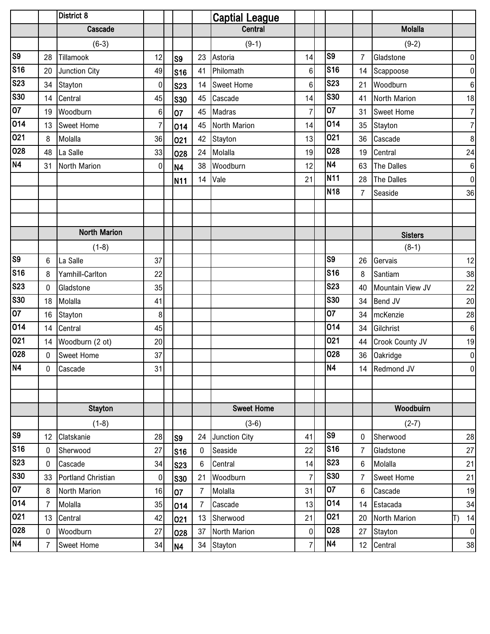|                       |                | District 8          |             |                |                 | <b>Captial League</b> |                |                |                |                     |                 |
|-----------------------|----------------|---------------------|-------------|----------------|-----------------|-----------------------|----------------|----------------|----------------|---------------------|-----------------|
|                       |                | Cascade             |             |                |                 | <b>Central</b>        |                |                |                | <b>Molalla</b>      |                 |
|                       |                | $(6-3)$             |             |                |                 | $(9-1)$               |                |                |                | $(9-2)$             |                 |
| S <sub>9</sub>        | 28             | Tillamook           | 12          | S <sub>9</sub> | 23              | Astoria               | 14             | S <sub>9</sub> | $\overline{7}$ | Gladstone           | $\mathbf 0$     |
| S16                   | 20             | Junction City       | 49          | <b>S16</b>     | 41              | Philomath             | $\,6$          | <b>S16</b>     | 14             | Scappoose           | $\pmb{0}$       |
| <b>S23</b>            | 34             | Stayton             | $\pmb{0}$   | <b>S23</b>     |                 | 14 Sweet Home         | $6\phantom{.}$ | <b>S23</b>     | 21             | Woodburn            | $6\phantom{1}6$ |
| <b>S30</b>            | 14             | Central             | 45          | <b>S30</b>     | 45              | Cascade               | 14             | <b>S30</b>     | 41             | North Marion        | 18              |
| $\overline{07}$       | 19             | Woodburn            | 6           | 07             | 45              | <b>Madras</b>         | $\overline{7}$ | 07             | 31             | <b>Sweet Home</b>   | $\overline{7}$  |
| 014                   | 13             | <b>Sweet Home</b>   | 7           | 014            | 45              | North Marion          | 14             | 014            | 35             | Stayton             | $\overline{7}$  |
| 021                   | 8              | Molalla             | 36          | 021            | 42              | Stayton               | 13             | 021            | 36             | Cascade             | 8               |
| 028                   | 48             | La Salle            | 33          | 028            | 24              | Molalla               | 19             | 028            | 19             | Central             | 24              |
| N <sub>4</sub>        | 31             | North Marion        | $\pmb{0}$   | <b>N4</b>      | 38              | Woodburn              | 12             | <b>N4</b>      | 63             | The Dalles          | $6\phantom{1}6$ |
|                       |                |                     |             | N11            | 14              | Vale                  | 21             | <b>N11</b>     | 28             | The Dalles          | $\mathbf 0$     |
|                       |                |                     |             |                |                 |                       |                | <b>N18</b>     | 7              | Seaside             | 36              |
|                       |                |                     |             |                |                 |                       |                |                |                |                     |                 |
|                       |                |                     |             |                |                 |                       |                |                |                |                     |                 |
|                       |                | <b>North Marion</b> |             |                |                 |                       |                |                |                | <b>Sisters</b>      |                 |
|                       |                | $(1-8)$             |             |                |                 |                       |                |                |                | $(8-1)$             |                 |
| $\overline{\text{S}}$ | 6              | La Salle            | 37          |                |                 |                       |                | S <sub>9</sub> | 26             | Gervais             | 12              |
| S16                   | 8              | Yamhill-Carlton     | 22          |                |                 |                       |                | <b>S16</b>     | 8              | Santiam             | 38              |
| <b>S23</b>            | $\mathbf 0$    | Gladstone           | 35          |                |                 |                       |                | <b>S23</b>     | 40             | Mountain View JV    | 22              |
| <b>S30</b>            | 18             | Molalla             | 41          |                |                 |                       |                | <b>S30</b>     | 34             | Bend JV             | 20              |
| 07                    | 16             | Stayton             | 8           |                |                 |                       |                | 07             | 34             | mcKenzie            | 28              |
| 014                   | 14             | Central             | 45          |                |                 |                       |                | 014            | 34             | Gilchrist           | $6\phantom{a}$  |
| 021                   |                | 14 Woodburn (2 ot)  | 20          |                |                 |                       |                | 021            |                | 44 Crook County JV  | 19              |
| 028                   | $\overline{0}$ | <b>Sweet Home</b>   | 37          |                |                 |                       |                | 028            |                | 36 Oakridge         | $\mathbf 0$     |
| N4                    | $\mathbf 0$    | Cascade             | 31          |                |                 |                       |                | N <sub>4</sub> |                | 14 Redmond JV       | $\pmb{0}$       |
|                       |                |                     |             |                |                 |                       |                |                |                |                     |                 |
|                       |                |                     |             |                |                 |                       |                |                |                |                     |                 |
|                       |                | <b>Stayton</b>      |             |                |                 | <b>Sweet Home</b>     |                |                |                | Woodbuirn           |                 |
|                       |                | $(1-8)$             |             |                |                 | $(3-6)$               |                |                |                | $(2-7)$             |                 |
| S <sub>9</sub>        | 12             | Clatskanie          | 28          | S <sub>9</sub> | 24              | Junction City         | 41             | S <sub>9</sub> | $\mathbf{0}$   | Sherwood            | 28              |
| <b>S16</b>            | $\mathbf 0$    | Sherwood            | 27          | <b>S16</b>     | $\mathbf 0$     | Seaside               | 22             | <b>S16</b>     | 7              | Gladstone           | 27              |
| <b>S23</b>            | $\mathbf 0$    | Cascade             | 34          | <b>S23</b>     | $6\phantom{.0}$ | Central               | 14             | <b>S23</b>     | 6              | Molalla             | 21              |
| <b>S30</b>            | 33             | Portland Christian  | $\mathbf 0$ | <b>S30</b>     | 21              | Woodburn              | $\overline{7}$ | <b>S30</b>     | $\overline{7}$ | <b>Sweet Home</b>   | 21              |
| $\overline{07}$       | 8              | North Marion        | 16          | 07             | $\overline{7}$  | Molalla               | 31             | 07             | 6              | Cascade             | 19              |
| 014                   | $\overline{7}$ | Molalla             | 35          | 014            | $\overline{7}$  | Cascade               | 13             | 014            |                | 14 Estacada         | 34              |
| 021                   | 13             | Central             | 42          | 021            | 13              | Sherwood              | 21             | 021            | 20             | <b>North Marion</b> | 14              |
| 028                   | $\mathbf 0$    | Woodburn            | 27          | 028            | 37              | North Marion          | $\pmb{0}$      | 028            | 27             | Stayton             | $\mathbf 0$     |
| N4                    | $\overline{7}$ | <b>Sweet Home</b>   | 34          | <b>N4</b>      |                 | 34 Stayton            | $\overline{7}$ | <b>N4</b>      |                | 12 Central          | 38              |